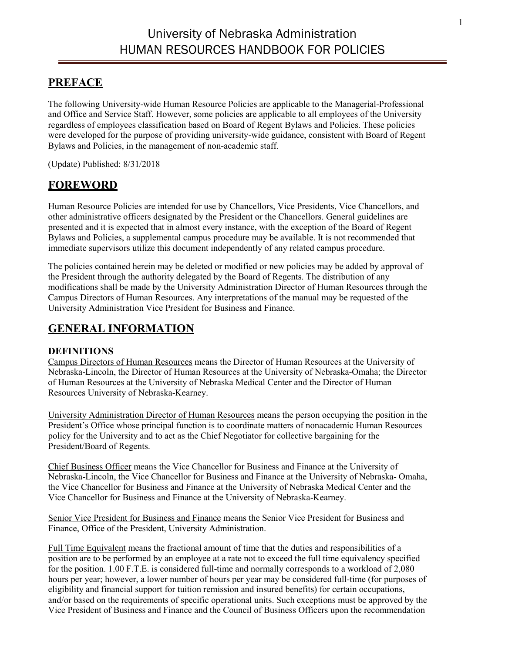## **PREFACE**

The following University-wide Human Resource Policies are applicable to the Managerial-Professional and Office and Service Staff. However, some policies are applicable to all employees of the University regardless of employees classification based on Board of Regent Bylaws and Policies. These policies were developed for the purpose of providing university-wide guidance, consistent with Board of Regent Bylaws and Policies, in the management of non-academic staff.

(Update) Published: 8/31/2018

## **FOREWORD**

Human Resource Policies are intended for use by Chancellors, Vice Presidents, Vice Chancellors, and other administrative officers designated by the President or the Chancellors. General guidelines are presented and it is expected that in almost every instance, with the exception of the Board of Regent Bylaws and Policies, a supplemental campus procedure may be available. It is not recommended that immediate supervisors utilize this document independently of any related campus procedure.

The policies contained herein may be deleted or modified or new policies may be added by approval of the President through the authority delegated by the Board of Regents. The distribution of any modifications shall be made by the University Administration Director of Human Resources through the Campus Directors of Human Resources. Any interpretations of the manual may be requested of the University Administration Vice President for Business and Finance.

## **GENERAL INFORMATION**

## **DEFINITIONS**

Campus Directors of Human Resources means the Director of Human Resources at the University of Nebraska-Lincoln, the Director of Human Resources at the University of Nebraska-Omaha; the Director of Human Resources at the University of Nebraska Medical Center and the Director of Human Resources University of Nebraska-Kearney.

University Administration Director of Human Resources means the person occupying the position in the President's Office whose principal function is to coordinate matters of nonacademic Human Resources policy for the University and to act as the Chief Negotiator for collective bargaining for the President/Board of Regents.

Chief Business Officer means the Vice Chancellor for Business and Finance at the University of Nebraska-Lincoln, the Vice Chancellor for Business and Finance at the University of Nebraska- Omaha, the Vice Chancellor for Business and Finance at the University of Nebraska Medical Center and the Vice Chancellor for Business and Finance at the University of Nebraska-Kearney.

Senior Vice President for Business and Finance means the Senior Vice President for Business and Finance, Office of the President, University Administration.

Full Time Equivalent means the fractional amount of time that the duties and responsibilities of a position are to be performed by an employee at a rate not to exceed the full time equivalency specified for the position. 1.00 F.T.E. is considered full-time and normally corresponds to a workload of 2,080 hours per year; however, a lower number of hours per year may be considered full-time (for purposes of eligibility and financial support for tuition remission and insured benefits) for certain occupations, and/or based on the requirements of specific operational units. Such exceptions must be approved by the Vice President of Business and Finance and the Council of Business Officers upon the recommendation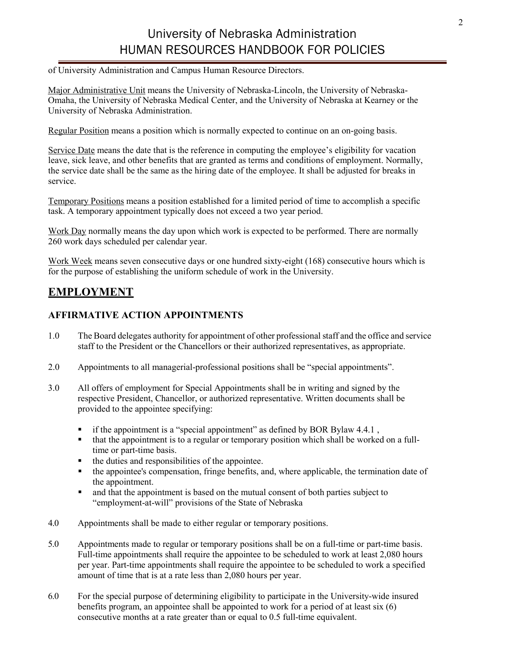of University Administration and Campus Human Resource Directors.

Major Administrative Unit means the University of Nebraska-Lincoln, the University of Nebraska-Omaha, the University of Nebraska Medical Center, and the University of Nebraska at Kearney or the University of Nebraska Administration.

Regular Position means a position which is normally expected to continue on an on-going basis.

Service Date means the date that is the reference in computing the employee's eligibility for vacation leave, sick leave, and other benefits that are granted as terms and conditions of employment. Normally, the service date shall be the same as the hiring date of the employee. It shall be adjusted for breaks in service.

Temporary Positions means a position established for a limited period of time to accomplish a specific task. A temporary appointment typically does not exceed a two year period.

Work Day normally means the day upon which work is expected to be performed. There are normally 260 work days scheduled per calendar year.

Work Week means seven consecutive days or one hundred sixty-eight (168) consecutive hours which is for the purpose of establishing the uniform schedule of work in the University.

## **EMPLOYMENT**

#### **AFFIRMATIVE ACTION APPOINTMENTS**

- 1.0 The Board delegates authority for appointment of other professional staff and the office and service staff to the President or the Chancellors or their authorized representatives, as appropriate.
- 2.0 Appointments to all managerial-professional positions shall be "special appointments".
- 3.0 All offers of employment for Special Appointments shall be in writing and signed by the respective President, Chancellor, or authorized representative. Written documents shall be provided to the appointee specifying:
	- if the appointment is a "special appointment" as defined by BOR Bylaw 4.4.1 ,
	- that the appointment is to a regular or temporary position which shall be worked on a fulltime or part-time basis.
	- the duties and responsibilities of the appointee.<br>■ the appointee's compensation fringe benefits a
	- the appointee's compensation, fringe benefits, and, where applicable, the termination date of the appointment.
	- and that the appointment is based on the mutual consent of both parties subject to "employment-at-will" provisions of the State of Nebraska
- 4.0 Appointments shall be made to either regular or temporary positions.
- 5.0 Appointments made to regular or temporary positions shall be on a full-time or part-time basis. Full-time appointments shall require the appointee to be scheduled to work at least 2,080 hours per year. Part-time appointments shall require the appointee to be scheduled to work a specified amount of time that is at a rate less than 2,080 hours per year.
- 6.0 For the special purpose of determining eligibility to participate in the University-wide insured benefits program, an appointee shall be appointed to work for a period of at least six (6) consecutive months at a rate greater than or equal to 0.5 full-time equivalent.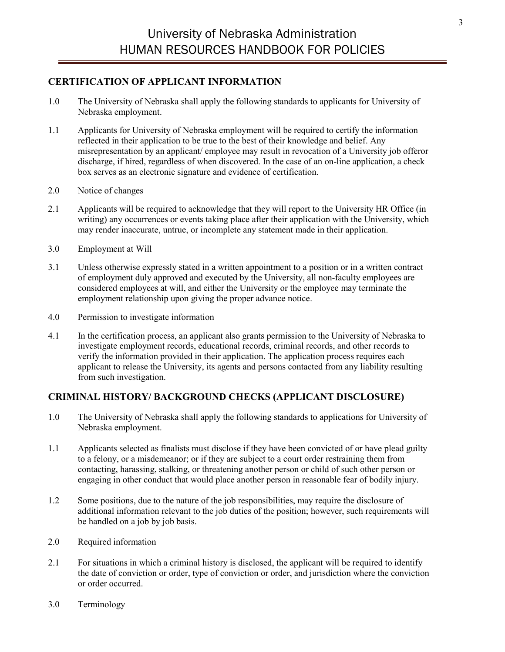### **CERTIFICATION OF APPLICANT INFORMATION**

- 1.0 The University of Nebraska shall apply the following standards to applicants for University of Nebraska employment.
- 1.1 Applicants for University of Nebraska employment will be required to certify the information reflected in their application to be true to the best of their knowledge and belief. Any misrepresentation by an applicant/ employee may result in revocation of a University job offeror discharge, if hired, regardless of when discovered. In the case of an on-line application, a check box serves as an electronic signature and evidence of certification.
- 2.0 Notice of changes
- 2.1 Applicants will be required to acknowledge that they will report to the University HR Office (in writing) any occurrences or events taking place after their application with the University, which may render inaccurate, untrue, or incomplete any statement made in their application.
- 3.0 Employment at Will
- 3.1 Unless otherwise expressly stated in a written appointment to a position or in a written contract of employment duly approved and executed by the University, all non-faculty employees are considered employees at will, and either the University or the employee may terminate the employment relationship upon giving the proper advance notice.
- 4.0 Permission to investigate information
- 4.1 In the certification process, an applicant also grants permission to the University of Nebraska to investigate employment records, educational records, criminal records, and other records to verify the information provided in their application. The application process requires each applicant to release the University, its agents and persons contacted from any liability resulting from such investigation.

## **CRIMINAL HISTORY/ BACKGROUND CHECKS (APPLICANT DISCLOSURE)**

- 1.0 The University of Nebraska shall apply the following standards to applications for University of Nebraska employment.
- 1.1 Applicants selected as finalists must disclose if they have been convicted of or have plead guilty to a felony, or a misdemeanor; or if they are subject to a court order restraining them from contacting, harassing, stalking, or threatening another person or child of such other person or engaging in other conduct that would place another person in reasonable fear of bodily injury.
- 1.2 Some positions, due to the nature of the job responsibilities, may require the disclosure of additional information relevant to the job duties of the position; however, such requirements will be handled on a job by job basis.
- 2.0 Required information
- 2.1 For situations in which a criminal history is disclosed, the applicant will be required to identify the date of conviction or order, type of conviction or order, and jurisdiction where the conviction or order occurred.
- 3.0 Terminology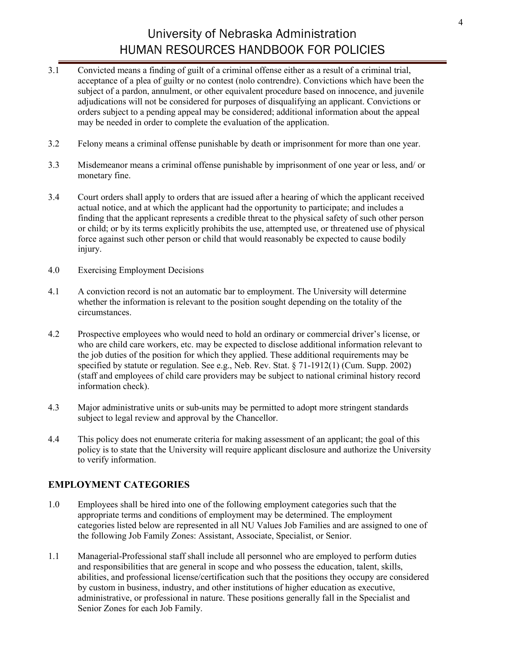- 3.1 Convicted means a finding of guilt of a criminal offense either as a result of a criminal trial, acceptance of a plea of guilty or no contest (nolo contrendre). Convictions which have been the subject of a pardon, annulment, or other equivalent procedure based on innocence, and juvenile adjudications will not be considered for purposes of disqualifying an applicant. Convictions or orders subject to a pending appeal may be considered; additional information about the appeal may be needed in order to complete the evaluation of the application.
- 3.2 Felony means a criminal offense punishable by death or imprisonment for more than one year.
- 3.3 Misdemeanor means a criminal offense punishable by imprisonment of one year or less, and/ or monetary fine.
- 3.4 Court orders shall apply to orders that are issued after a hearing of which the applicant received actual notice, and at which the applicant had the opportunity to participate; and includes a finding that the applicant represents a credible threat to the physical safety of such other person or child; or by its terms explicitly prohibits the use, attempted use, or threatened use of physical force against such other person or child that would reasonably be expected to cause bodily injury.
- 4.0 Exercising Employment Decisions
- 4.1 A conviction record is not an automatic bar to employment. The University will determine whether the information is relevant to the position sought depending on the totality of the circumstances.
- 4.2 Prospective employees who would need to hold an ordinary or commercial driver's license, or who are child care workers, etc. may be expected to disclose additional information relevant to the job duties of the position for which they applied. These additional requirements may be specified by statute or regulation. See e.g., Neb. Rev. Stat. § 71-1912(1) (Cum. Supp. 2002) (staff and employees of child care providers may be subject to national criminal history record information check).
- 4.3 Major administrative units or sub-units may be permitted to adopt more stringent standards subject to legal review and approval by the Chancellor.
- 4.4 This policy does not enumerate criteria for making assessment of an applicant; the goal of this policy is to state that the University will require applicant disclosure and authorize the University to verify information.

#### **EMPLOYMENT CATEGORIES**

- 1.0 Employees shall be hired into one of the following employment categories such that the appropriate terms and conditions of employment may be determined. The employment categories listed below are represented in all NU Values Job Families and are assigned to one of the following Job Family Zones: Assistant, Associate, Specialist, or Senior.
- 1.1 Managerial-Professional staff shall include all personnel who are employed to perform duties and responsibilities that are general in scope and who possess the education, talent, skills, abilities, and professional license/certification such that the positions they occupy are considered by custom in business, industry, and other institutions of higher education as executive, administrative, or professional in nature. These positions generally fall in the Specialist and Senior Zones for each Job Family.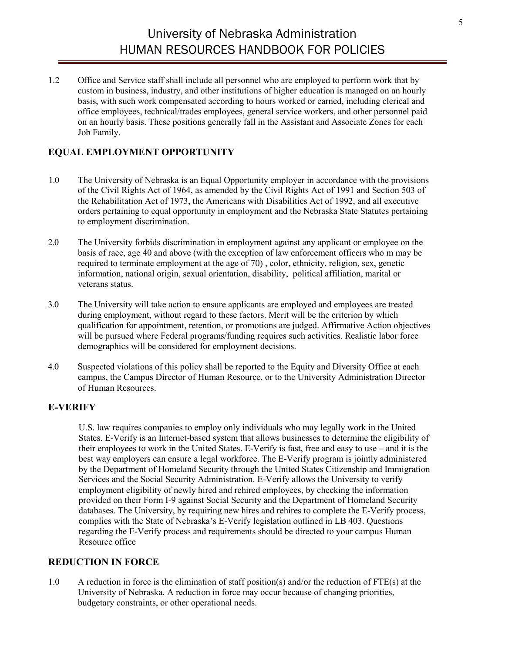1.2 Office and Service staff shall include all personnel who are employed to perform work that by custom in business, industry, and other institutions of higher education is managed on an hourly basis, with such work compensated according to hours worked or earned, including clerical and office employees, technical/trades employees, general service workers, and other personnel paid on an hourly basis. These positions generally fall in the Assistant and Associate Zones for each Job Family.

### **EQUAL EMPLOYMENT OPPORTUNITY**

- 1.0 The University of Nebraska is an Equal Opportunity employer in accordance with the provisions of the Civil Rights Act of 1964, as amended by the Civil Rights Act of 1991 and Section 503 of the Rehabilitation Act of 1973, the Americans with Disabilities Act of 1992, and all executive orders pertaining to equal opportunity in employment and the Nebraska State Statutes pertaining to employment discrimination.
- 2.0 The University forbids discrimination in employment against any applicant or employee on the basis of race, age 40 and above (with the exception of law enforcement officers who m may be required to terminate employment at the age of 70) , color, ethnicity, religion, sex, genetic information, national origin, sexual orientation, disability, political affiliation, marital or veterans status.
- 3.0 The University will take action to ensure applicants are employed and employees are treated during employment, without regard to these factors. Merit will be the criterion by which qualification for appointment, retention, or promotions are judged. Affirmative Action objectives will be pursued where Federal programs/funding requires such activities. Realistic labor force demographics will be considered for employment decisions.
- 4.0 Suspected violations of this policy shall be reported to the Equity and Diversity Office at each campus, the Campus Director of Human Resource, or to the University Administration Director of Human Resources.

#### **E-VERIFY**

U.S. law requires companies to employ only individuals who may legally work in the United States. E-Verify is an Internet-based system that allows businesses to determine the eligibility of their employees to work in the United States. E-Verify is fast, free and easy to use – and it is the best way employers can ensure a legal workforce. The E-Verify program is jointly administered by the Department of Homeland Security through the United States Citizenship and Immigration Services and the Social Security Administration. E-Verify allows the University to verify employment eligibility of newly hired and rehired employees, by checking the information provided on their Form I-9 against Social Security and the Department of Homeland Security databases. The University, by requiring new hires and rehires to complete the E-Verify process, complies with the State of Nebraska's E-Verify legislation outlined in LB 403. Questions regarding the E-Verify process and requirements should be directed to your campus Human Resource office

#### **REDUCTION IN FORCE**

1.0 A reduction in force is the elimination of staff position(s) and/or the reduction of FTE(s) at the University of Nebraska. A reduction in force may occur because of changing priorities, budgetary constraints, or other operational needs.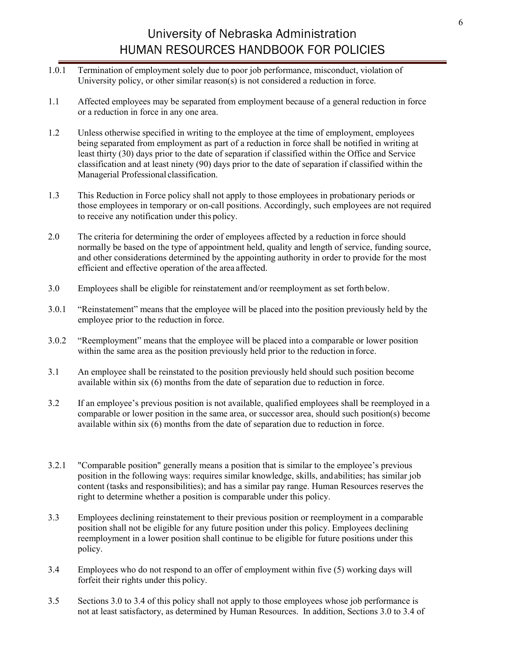- 1.0.1 Termination of employment solely due to poor job performance, misconduct, violation of University policy, or other similar reason(s) is not considered a reduction in force.
- 1.1 Affected employees may be separated from employment because of a general reduction in force or a reduction in force in any one area.
- 1.2 Unless otherwise specified in writing to the employee at the time of employment, employees being separated from employment as part of a reduction in force shall be notified in writing at least thirty (30) days prior to the date of separation if classified within the Office and Service classification and at least ninety (90) days prior to the date of separation if classified within the Managerial Professional classification.
- 1.3 This Reduction in Force policy shall not apply to those employees in probationary periods or those employees in temporary or on-call positions. Accordingly, such employees are not required to receive any notification under this policy.
- 2.0 The criteria for determining the order of employees affected by a reduction in force should normally be based on the type of appointment held, quality and length of service, funding source, and other considerations determined by the appointing authority in order to provide for the most efficient and effective operation of the area affected.
- 3.0 Employees shall be eligible for reinstatement and/or reemployment as set forth below.
- 3.0.1 "Reinstatement" means that the employee will be placed into the position previously held by the employee prior to the reduction in force.
- 3.0.2 "Reemployment" means that the employee will be placed into a comparable or lower position within the same area as the position previously held prior to the reduction in force.
- 3.1 An employee shall be reinstated to the position previously held should such position become available within six (6) months from the date of separation due to reduction in force.
- 3.2 If an employee's previous position is not available, qualified employees shall be reemployed in a comparable or lower position in the same area, or successor area, should such position(s) become available within six (6) months from the date of separation due to reduction in force.
- 3.2.1 "Comparable position" generally means a position that is similar to the employee's previous position in the following ways: requires similar knowledge, skills, andabilities; has similar job content (tasks and responsibilities); and has a similar pay range. Human Resources reserves the right to determine whether a position is comparable under this policy.
- 3.3 Employees declining reinstatement to their previous position or reemployment in a comparable position shall not be eligible for any future position under this policy. Employees declining reemployment in a lower position shall continue to be eligible for future positions under this policy.
- 3.4 Employees who do not respond to an offer of employment within five (5) working days will forfeit their rights under this policy.
- 3.5 Sections 3.0 to 3.4 of this policy shall not apply to those employees whose job performance is not at least satisfactory, as determined by Human Resources. In addition, Sections 3.0 to 3.4 of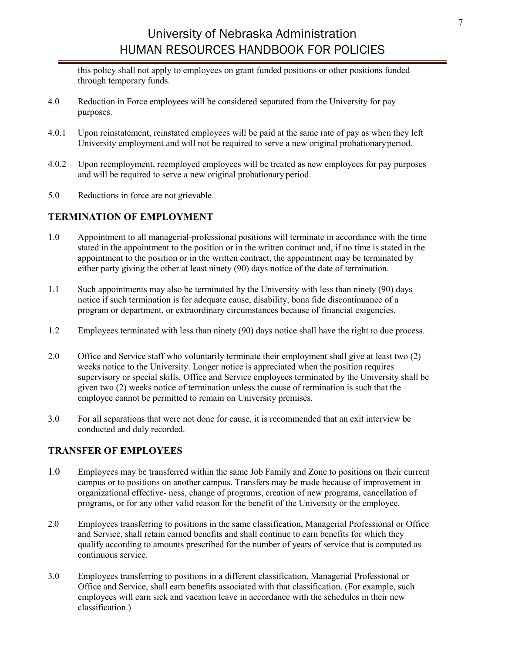this policy shall not apply to employees on grant funded positions or other positions funded through temporary funds.

- 4.0 Reduction in Force employees will be considered separated from the University for pay purposes.
- 4.0.1 Upon reinstatement, reinstated employees will be paid at the same rate of pay as when they left University employment and will not be required to serve a new original probationaryperiod.
- 4.0.2 Upon reemployment, reemployed employees will be treated as new employees for pay purposes and will be required to serve a new original probationary period.
- 5.0 Reductions in force are not grievable.

#### **TERMINATION OF EMPLOYMENT**

- 1.0 Appointment to all managerial-professional positions will terminate in accordance with the time stated in the appointment to the position or in the written contract and, if no time is stated in the appointment to the position or in the written contract, the appointment may be terminated by either party giving the other at least ninety (90) days notice of the date of termination.
- 1.1 Such appointments may also be terminated by the University with less than ninety (90) days notice if such termination is for adequate cause, disability, bona fide discontinuance of a program or department, or extraordinary circumstances because of financial exigencies.
- 1.2 Employees terminated with less than ninety (90) days notice shall have the right to due process.
- 2.0 Office and Service staff who voluntarily terminate their employment shall give at least two (2) weeks notice to the University. Longer notice is appreciated when the position requires supervisory or special skills. Office and Service employees terminated by the University shall be given two (2) weeks notice of termination unless the cause of termination is such that the employee cannot be permitted to remain on University premises.
- 3.0 For all separations that were not done for cause, it is recommended that an exit interview be conducted and duly recorded.

#### **TRANSFER OF EMPLOYEES**

- 1.0 Employees may be transferred within the same Job Family and Zone to positions on their current campus or to positions on another campus. Transfers may be made because of improvement in organizational effective- ness, change of programs, creation of new programs, cancellation of programs, or for any other valid reason for the benefit of the University or the employee.
- 2.0 Employees transferring to positions in the same classification, Managerial Professional or Office and Service, shall retain earned benefits and shall continue to earn benefits for which they qualify according to amounts prescribed for the number of years of service that is computed as continuous service.
- 3.0 Employees transferring to positions in a different classification, Managerial Professional or Office and Service, shall earn benefits associated with that classification. (For example, such employees will earn sick and vacation leave in accordance with the schedules in their new classification.)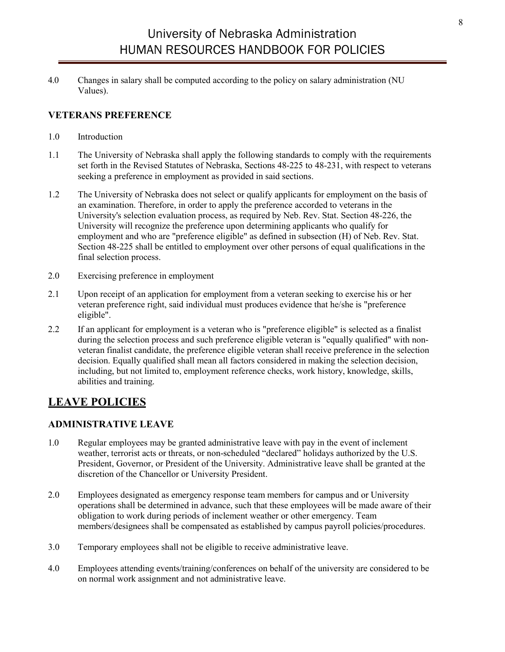4.0 Changes in salary shall be computed according to the policy on salary administration (NU Values).

## **VETERANS PREFERENCE**

- 1.0 Introduction
- 1.1 The University of Nebraska shall apply the following standards to comply with the requirements set forth in the Revised Statutes of Nebraska, Sections 48-225 to 48-231, with respect to veterans seeking a preference in employment as provided in said sections.
- 1.2 The University of Nebraska does not select or qualify applicants for employment on the basis of an examination. Therefore, in order to apply the preference accorded to veterans in the University's selection evaluation process, as required by Neb. Rev. Stat. Section 48-226, the University will recognize the preference upon determining applicants who qualify for employment and who are "preference eligible" as defined in subsection (H) of Neb. Rev. Stat. Section 48-225 shall be entitled to employment over other persons of equal qualifications in the final selection process.
- 2.0 Exercising preference in employment
- 2.1 Upon receipt of an application for employment from a veteran seeking to exercise his or her veteran preference right, said individual must produces evidence that he/she is "preference eligible".
- 2.2 If an applicant for employment is a veteran who is "preference eligible" is selected as a finalist during the selection process and such preference eligible veteran is "equally qualified" with nonveteran finalist candidate, the preference eligible veteran shall receive preference in the selection decision. Equally qualified shall mean all factors considered in making the selection decision, including, but not limited to, employment reference checks, work history, knowledge, skills, abilities and training.

## **LEAVE POLICIES**

## **ADMINISTRATIVE LEAVE**

- 1.0 Regular employees may be granted administrative leave with pay in the event of inclement weather, terrorist acts or threats, or non-scheduled "declared" holidays authorized by the U.S. President, Governor, or President of the University. Administrative leave shall be granted at the discretion of the Chancellor or University President.
- 2.0 Employees designated as emergency response team members for campus and or University operations shall be determined in advance, such that these employees will be made aware of their obligation to work during periods of inclement weather or other emergency. Team members/designees shall be compensated as established by campus payroll policies/procedures.
- 3.0 Temporary employees shall not be eligible to receive administrative leave.
- 4.0 Employees attending events/training/conferences on behalf of the university are considered to be on normal work assignment and not administrative leave.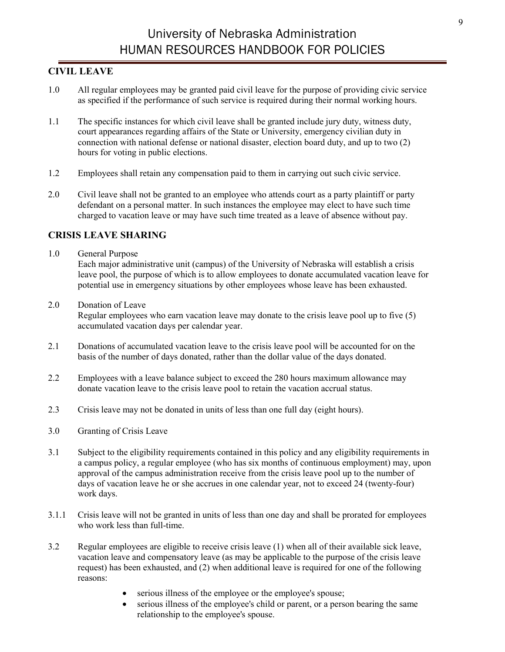### **CIVIL LEAVE**

- 1.0 All regular employees may be granted paid civil leave for the purpose of providing civic service as specified if the performance of such service is required during their normal working hours.
- 1.1 The specific instances for which civil leave shall be granted include jury duty, witness duty, court appearances regarding affairs of the State or University, emergency civilian duty in connection with national defense or national disaster, election board duty, and up to two (2) hours for voting in public elections.
- 1.2 Employees shall retain any compensation paid to them in carrying out such civic service.
- 2.0 Civil leave shall not be granted to an employee who attends court as a party plaintiff or party defendant on a personal matter. In such instances the employee may elect to have such time charged to vacation leave or may have such time treated as a leave of absence without pay.

#### **CRISIS LEAVE SHARING**

1.0 General Purpose

Each major administrative unit (campus) of the University of Nebraska will establish a crisis leave pool, the purpose of which is to allow employees to donate accumulated vacation leave for potential use in emergency situations by other employees whose leave has been exhausted.

2.0 Donation of Leave

Regular employees who earn vacation leave may donate to the crisis leave pool up to five (5) accumulated vacation days per calendar year.

- 2.1 Donations of accumulated vacation leave to the crisis leave pool will be accounted for on the basis of the number of days donated, rather than the dollar value of the days donated.
- 2.2 Employees with a leave balance subject to exceed the 280 hours maximum allowance may donate vacation leave to the crisis leave pool to retain the vacation accrual status.
- 2.3 Crisis leave may not be donated in units of less than one full day (eight hours).
- 3.0 Granting of Crisis Leave
- 3.1 Subject to the eligibility requirements contained in this policy and any eligibility requirements in a campus policy, a regular employee (who has six months of continuous employment) may, upon approval of the campus administration receive from the crisis leave pool up to the number of days of vacation leave he or she accrues in one calendar year, not to exceed 24 (twenty-four) work days.
- 3.1.1 Crisis leave will not be granted in units of less than one day and shall be prorated for employees who work less than full-time.
- 3.2 Regular employees are eligible to receive crisis leave (1) when all of their available sick leave, vacation leave and compensatory leave (as may be applicable to the purpose of the crisis leave request) has been exhausted, and (2) when additional leave is required for one of the following reasons:
	- serious illness of the employee or the employee's spouse;
	- serious illness of the employee's child or parent, or a person bearing the same relationship to the employee's spouse.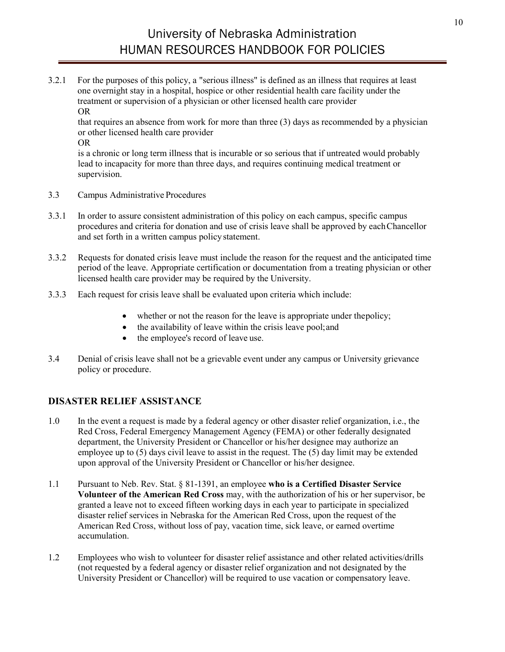3.2.1 For the purposes of this policy, a "serious illness" is defined as an illness that requires at least one overnight stay in a hospital, hospice or other residential health care facility under the treatment or supervision of a physician or other licensed health care provider OR

that requires an absence from work for more than three (3) days as recommended by a physician or other licensed health care provider

OR

is a chronic or long term illness that is incurable or so serious that if untreated would probably lead to incapacity for more than three days, and requires continuing medical treatment or supervision.

- 3.3 Campus Administrative Procedures
- 3.3.1 In order to assure consistent administration of this policy on each campus, specific campus procedures and criteria for donation and use of crisis leave shall be approved by eachChancellor and set forth in a written campus policy statement.
- 3.3.2 Requests for donated crisis leave must include the reason for the request and the anticipated time period of the leave. Appropriate certification or documentation from a treating physician or other licensed health care provider may be required by the University.
- 3.3.3 Each request for crisis leave shall be evaluated upon criteria which include:
	- whether or not the reason for the leave is appropriate under the policy;
	- the availability of leave within the crisis leave pool; and
	- the employee's record of leave use.
- 3.4 Denial of crisis leave shall not be a grievable event under any campus or University grievance policy or procedure.

## **DISASTER RELIEF ASSISTANCE**

- 1.0 In the event a request is made by a federal agency or other disaster relief organization, i.e., the Red Cross, Federal Emergency Management Agency (FEMA) or other federally designated department, the University President or Chancellor or his/her designee may authorize an employee up to (5) days civil leave to assist in the request. The (5) day limit may be extended upon approval of the University President or Chancellor or his/her designee.
- 1.1 Pursuant to Neb. Rev. Stat. § 81-1391, an employee **who is a Certified Disaster Service Volunteer of the American Red Cross** may, with the authorization of his or her supervisor, be granted a leave not to exceed fifteen working days in each year to participate in specialized disaster relief services in Nebraska for the American Red Cross, upon the request of the American Red Cross, without loss of pay, vacation time, sick leave, or earned overtime accumulation.
- 1.2 Employees who wish to volunteer for disaster relief assistance and other related activities/drills (not requested by a federal agency or disaster relief organization and not designated by the University President or Chancellor) will be required to use vacation or compensatory leave.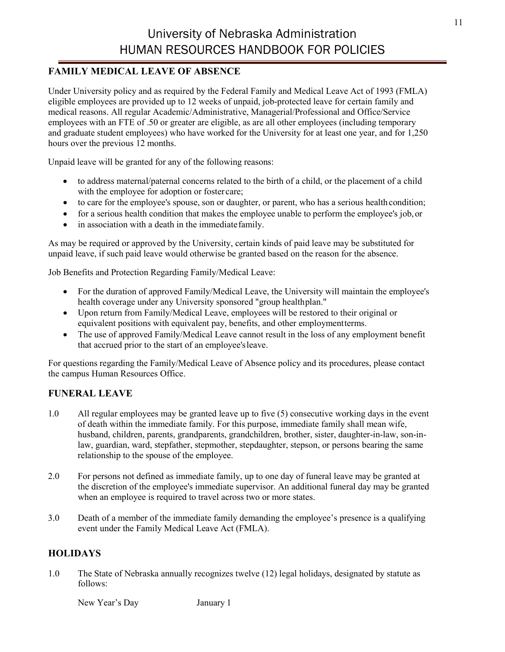## **FAMILY MEDICAL LEAVE OF ABSENCE**

Under University policy and as required by the Federal Family and Medical Leave Act of 1993 (FMLA) eligible employees are provided up to 12 weeks of unpaid, job-protected leave for certain family and medical reasons. All regular Academic/Administrative, Managerial/Professional and Office/Service employees with an FTE of .50 or greater are eligible, as are all other employees (including temporary and graduate student employees) who have worked for the University for at least one year, and for 1,250 hours over the previous 12 months.

Unpaid leave will be granted for any of the following reasons:

- to address maternal/paternal concerns related to the birth of a child, or the placement of a child with the employee for adoption or foster care;
- to care for the employee's spouse, son or daughter, or parent, who has a serious health condition;
- for a serious health condition that makes the employee unable to perform the employee's job, or
- in association with a death in the immediate family.

As may be required or approved by the University, certain kinds of paid leave may be substituted for unpaid leave, if such paid leave would otherwise be granted based on the reason for the absence.

Job Benefits and Protection Regarding Family/Medical Leave:

- For the duration of approved Family/Medical Leave, the University will maintain the employee's health coverage under any University sponsored "group healthplan."
- Upon return from Family/Medical Leave, employees will be restored to their original or equivalent positions with equivalent pay, benefits, and other employmentterms.
- The use of approved Family/Medical Leave cannot result in the loss of any employment benefit that accrued prior to the start of an employee'sleave.

For questions regarding the Family/Medical Leave of Absence policy and its procedures, please contact the campus Human Resources Office.

## **FUNERAL LEAVE**

- 1.0 All regular employees may be granted leave up to five (5) consecutive working days in the event of death within the immediate family. For this purpose, immediate family shall mean wife, husband, children, parents, grandparents, grandchildren, brother, sister, daughter-in-law, son-inlaw, guardian, ward, stepfather, stepmother, stepdaughter, stepson, or persons bearing the same relationship to the spouse of the employee.
- 2.0 For persons not defined as immediate family, up to one day of funeral leave may be granted at the discretion of the employee's immediate supervisor. An additional funeral day may be granted when an employee is required to travel across two or more states.
- 3.0 Death of a member of the immediate family demanding the employee's presence is a qualifying event under the Family Medical Leave Act (FMLA).

## **HOLIDAYS**

1.0 The State of Nebraska annually recognizes twelve (12) legal holidays, designated by statute as follows:

New Year's Day January 1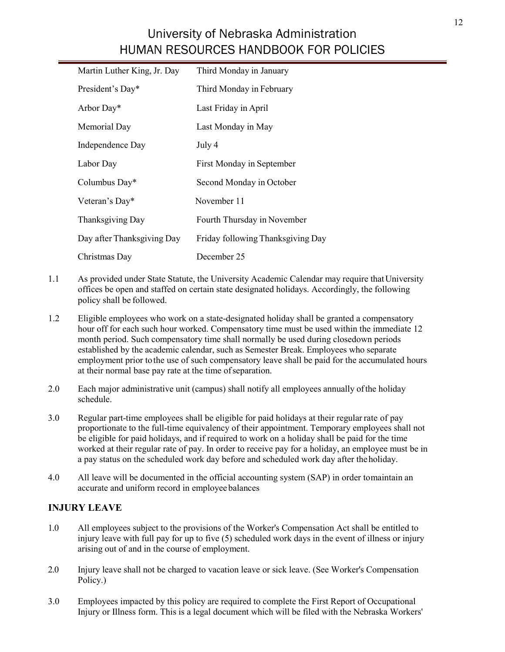| Martin Luther King, Jr. Day | Third Monday in January           |
|-----------------------------|-----------------------------------|
| President's Day*            | Third Monday in February          |
| Arbor Day*                  | Last Friday in April              |
| Memorial Day                | Last Monday in May                |
| Independence Day            | July 4                            |
| Labor Day                   | First Monday in September         |
| Columbus Day*               | Second Monday in October          |
| Veteran's Day*              | November 11                       |
| Thanksgiving Day            | Fourth Thursday in November       |
| Day after Thanksgiving Day  | Friday following Thanksgiving Day |
| Christmas Day               | December 25                       |

- 1.1 As provided under State Statute, the University Academic Calendar may require thatUniversity offices be open and staffed on certain state designated holidays. Accordingly, the following policy shall be followed.
- 1.2 Eligible employees who work on a state-designated holiday shall be granted a compensatory hour off for each such hour worked. Compensatory time must be used within the immediate 12 month period. Such compensatory time shall normally be used during closedown periods established by the academic calendar, such as Semester Break. Employees who separate employment prior tothe use of such compensatory leave shall be paid for the accumulated hours at their normal base pay rate at the time ofseparation.
- 2.0 Each major administrative unit (campus) shall notify all employees annually ofthe holiday schedule.
- 3.0 Regular part-time employees shall be eligible for paid holidays at their regularrate of pay proportionate to the full-time equivalency of their appointment. Temporary employees shall not be eligible for paid holidays, and if required to work on a holiday shall be paid for the time worked at their regular rate of pay. In order to receive pay for a holiday, an employee must be in a pay status on the scheduled work day before and scheduled work day after theholiday.
- 4.0 All leave will be documented in the official accounting system (SAP) in order tomaintain an accurate and uniform record in employee balances

## **INJURY LEAVE**

- 1.0 All employees subject to the provisions of the Worker's Compensation Act shall be entitled to injury leave with full pay for up to five (5) scheduled work days in the event of illness or injury arising out of and in the course of employment.
- 2.0 Injury leave shall not be charged to vacation leave or sick leave. (See Worker's Compensation Policy.)
- 3.0 Employees impacted by this policy are required to complete the First Report of Occupational Injury or Illness form. This is a legal document which will be filed with the Nebraska Workers'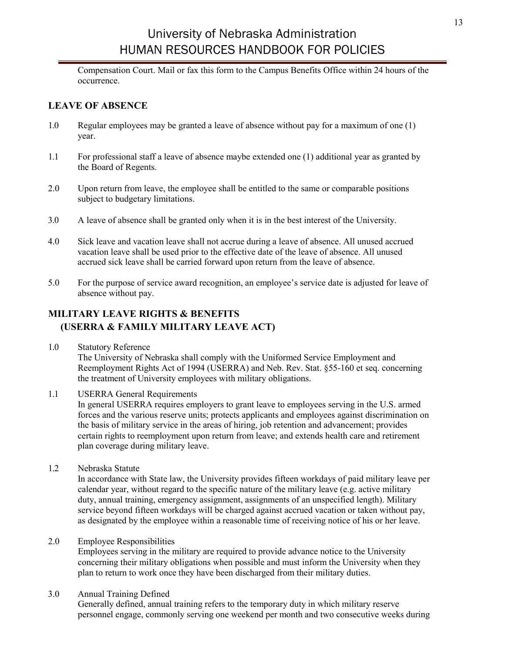Compensation Court. Mail or fax this form to the Campus Benefits Office within 24 hours of the occurrence.

#### **LEAVE OF ABSENCE**

- 1.0 Regular employees may be granted a leave of absence without pay for a maximum of one (1) year.
- 1.1 For professional staff a leave of absence maybe extended one (1) additional year as granted by the Board of Regents.
- 2.0 Upon return from leave, the employee shall be entitled to the same or comparable positions subject to budgetary limitations.
- 3.0 A leave of absence shall be granted only when it is in the best interest of the University.
- 4.0 Sick leave and vacation leave shall not accrue during a leave of absence. All unused accrued vacation leave shall be used prior to the effective date of the leave of absence. All unused accrued sick leave shall be carried forward upon return from the leave of absence.
- 5.0 For the purpose of service award recognition, an employee's service date is adjusted for leave of absence without pay.

## **MILITARY LEAVE RIGHTS & BENEFITS (USERRA & FAMILY MILITARY LEAVE ACT)**

- 1.0 Statutory Reference The University of Nebraska shall comply with the Uniformed Service Employment and Reemployment Rights Act of 1994 (USERRA) and Neb. Rev. Stat. §55-160 et seq. concerning the treatment of University employees with military obligations.
- 1.1 USERRA General Requirements

In general USERRA requires employers to grant leave to employees serving in the U.S. armed forces and the various reserve units; protects applicants and employees against discrimination on the basis of military service in the areas of hiring, job retention and advancement; provides certain rights to reemployment upon return from leave; and extends health care and retirement plan coverage during military leave.

1.2 Nebraska Statute

In accordance with State law, the University provides fifteen workdays of paid military leave per calendar year, without regard to the specific nature of the military leave (e.g. active military duty, annual training, emergency assignment, assignments of an unspecified length). Military service beyond fifteen workdays will be charged against accrued vacation or taken without pay, as designated by the employee within a reasonable time of receiving notice of his or her leave.

2.0 Employee Responsibilities

Employees serving in the military are required to provide advance notice to the University concerning their military obligations when possible and must inform the University when they plan to return to work once they have been discharged from their military duties.

#### 3.0 Annual Training Defined

Generally defined, annual training refers to the temporary duty in which military reserve personnel engage, commonly serving one weekend per month and two consecutive weeks during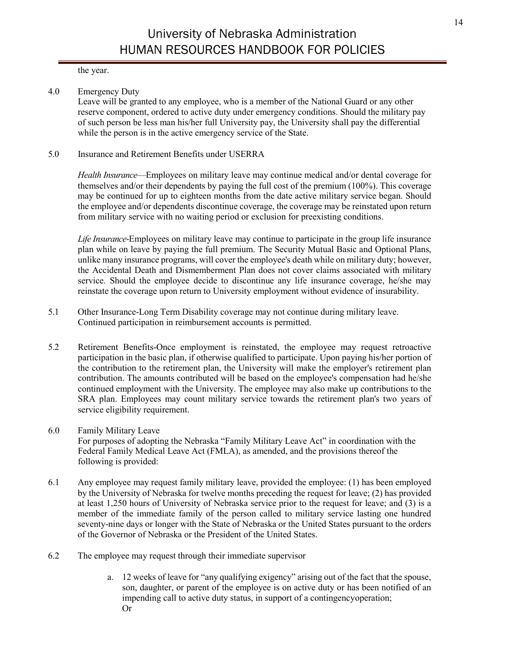the year.

#### 4.0 Emergency Duty

Leave will be granted to any employee, who is a member of the National Guard or any other reserve component, ordered to active duty under emergency conditions. Should the military pay of such person be less man his/her full University pay, the University shall pay the differential while the person is in the active emergency service of the State.

#### 5.0 Insurance and Retirement Benefits under USERRA

*Health Insurance*—Employees on military leave may continue medical and/or dental coverage for themselves and/or their dependents by paying the full cost of the premium (100%). This coverage may be continued for up to eighteen months from the date active military service began. Should the employee and/or dependents discontinue coverage, the coverage may be reinstated upon return from military service with no waiting period or exclusion for preexisting conditions.

*Life Insurance*-Employees on military leave may continue to participate in the group life insurance plan while on leave by paying the full premium. The Security Mutual Basic and Optional Plans, unlike many insurance programs, will cover the employee's death while on military duty; however, the Accidental Death and Dismemberment Plan does not cover claims associated with military service. Should the employee decide to discontinue any life insurance coverage, he/she may reinstate the coverage upon return to University employment without evidence of insurability.

- 5.1 Other Insurance-Long Term Disability coverage may not continue during military leave. Continued participation in reimbursement accounts is permitted.
- 5.2 Retirement Benefits-Once employment is reinstated, the employee may request retroactive participation in the basic plan, if otherwise qualified to participate. Upon paying his/her portion of the contribution to the retirement plan, the University will make the employer's retirement plan contribution. The amounts contributed will be based on the employee's compensation had he/she continued employment with the University. The employee may also make up contributions to the SRA plan. Employees may count military service towards the retirement plan's two years of service eligibility requirement.

#### 6.0 Family Military Leave For purposes of adopting the Nebraska "Family Military Leave Act" in coordination with the Federal Family Medical Leave Act (FMLA), as amended, and the provisions thereof the following is provided:

- 6.1 Any employee may request family military leave, provided the employee: (1) has been employed by the University of Nebraska for twelve months preceding the request for leave; (2) has provided at least 1,250 hours of University of Nebraska service prior to the request for leave; and (3) is a member of the immediate family of the person called to military service lasting one hundred seventy-nine days or longer with the State of Nebraska or the United States pursuant to the orders of the Governor of Nebraska or the President of the United States.
- 6.2 The employee may request through their immediate supervisor
	- a. 12 weeks of leave for "any qualifying exigency" arising out of the fact that the spouse, son, daughter, or parent of the employee is on active duty or has been notified of an impending call to active duty status, in support of a contingencyoperation; Or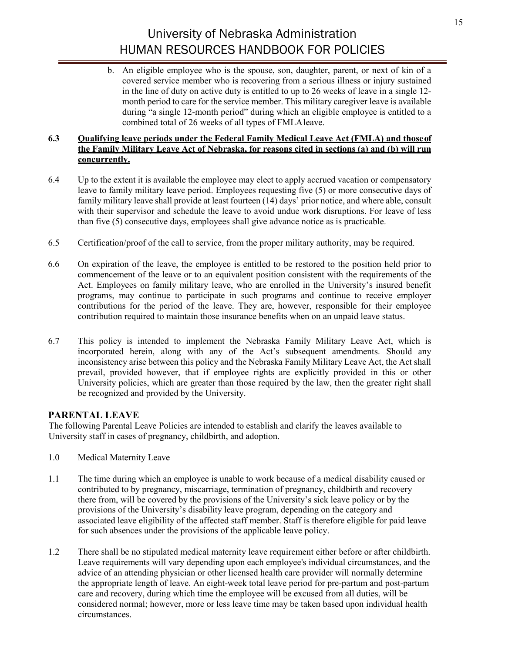b. An eligible employee who is the spouse, son, daughter, parent, or next of kin of a covered service member who is recovering from a serious illness or injury sustained in the line of duty on active duty is entitled to up to 26 weeks of leave in a single 12 month period to care for the service member. This military caregiver leave is available during "a single 12-month period" during which an eligible employee is entitled to a combined total of 26 weeks of all types of FMLAleave.

#### **6.3 Qualifying leave periods under the Federal Family Medical Leave Act (FMLA) and thoseof the Family Military Leave Act of Nebraska, for reasons cited in sections (a) and (b) will run concurrently.**

- 6.4 Up to the extent it is available the employee may elect to apply accrued vacation or compensatory leave to family military leave period. Employees requesting five (5) or more consecutive days of family military leave shall provide at least fourteen (14) days' prior notice, and where able, consult with their supervisor and schedule the leave to avoid undue work disruptions. For leave of less than five (5) consecutive days, employees shall give advance notice as is practicable.
- 6.5 Certification/proof of the call to service, from the proper military authority, may be required.
- 6.6 On expiration of the leave, the employee is entitled to be restored to the position held prior to commencement of the leave or to an equivalent position consistent with the requirements of the Act. Employees on family military leave, who are enrolled in the University's insured benefit programs, may continue to participate in such programs and continue to receive employer contributions for the period of the leave. They are, however, responsible for their employee contribution required to maintain those insurance benefits when on an unpaid leave status.
- 6.7 This policy is intended to implement the Nebraska Family Military Leave Act, which is incorporated herein, along with any of the Act's subsequent amendments. Should any inconsistency arise between this policy and the Nebraska Family Military Leave Act, the Act shall prevail, provided however, that if employee rights are explicitly provided in this or other University policies, which are greater than those required by the law, then the greater right shall be recognized and provided by the University.

#### **PARENTAL LEAVE**

The following Parental Leave Policies are intended to establish and clarify the leaves available to University staff in cases of pregnancy, childbirth, and adoption.

- 1.0 Medical Maternity Leave
- 1.1 The time during which an employee is unable to work because of a medical disability caused or contributed to by pregnancy, miscarriage, termination of pregnancy, childbirth and recovery there from, will be covered by the provisions of the University's sick leave policy or by the provisions of the University's disability leave program, depending on the category and associated leave eligibility of the affected staff member. Staff is therefore eligible for paid leave for such absences under the provisions of the applicable leave policy.
- 1.2 There shall be no stipulated medical maternity leave requirement either before or after childbirth. Leave requirements will vary depending upon each employee's individual circumstances, and the advice of an attending physician or other licensed health care provider will normally determine the appropriate length of leave. An eight-week total leave period for pre-partum and post-partum care and recovery, during which time the employee will be excused from all duties, will be considered normal; however, more or less leave time may be taken based upon individual health circumstances.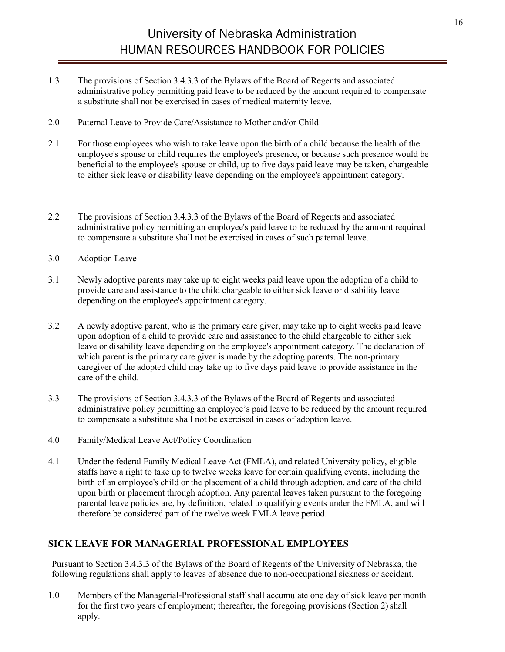- 1.3 The provisions of Section 3.4.3.3 of the Bylaws of the Board of Regents and associated administrative policy permitting paid leave to be reduced by the amount required to compensate a substitute shall not be exercised in cases of medical maternity leave.
- 2.0 Paternal Leave to Provide Care/Assistance to Mother and/or Child
- 2.1 For those employees who wish to take leave upon the birth of a child because the health of the employee's spouse or child requires the employee's presence, or because such presence would be beneficial to the employee's spouse or child, up to five days paid leave may be taken, chargeable to either sick leave or disability leave depending on the employee's appointment category.
- 2.2 The provisions of Section 3.4.3.3 of the Bylaws of the Board of Regents and associated administrative policy permitting an employee's paid leave to be reduced by the amount required to compensate a substitute shall not be exercised in cases of such paternal leave.
- 3.0 Adoption Leave
- 3.1 Newly adoptive parents may take up to eight weeks paid leave upon the adoption of a child to provide care and assistance to the child chargeable to either sick leave or disability leave depending on the employee's appointment category.
- 3.2 A newly adoptive parent, who is the primary care giver, may take up to eight weeks paid leave upon adoption of a child to provide care and assistance to the child chargeable to either sick leave or disability leave depending on the employee's appointment category. The declaration of which parent is the primary care giver is made by the adopting parents. The non-primary caregiver of the adopted child may take up to five days paid leave to provide assistance in the care of the child.
- 3.3 The provisions of Section 3.4.3.3 of the Bylaws of the Board of Regents and associated administrative policy permitting an employee's paid leave to be reduced by the amount required to compensate a substitute shall not be exercised in cases of adoption leave.
- 4.0 Family/Medical Leave Act/Policy Coordination
- 4.1 Under the federal Family Medical Leave Act (FMLA), and related University policy, eligible staffs have a right to take up to twelve weeks leave for certain qualifying events, including the birth of an employee's child or the placement of a child through adoption, and care of the child upon birth or placement through adoption. Any parental leaves taken pursuant to the foregoing parental leave policies are, by definition, related to qualifying events under the FMLA, and will therefore be considered part of the twelve week FMLA leave period.

## **SICK LEAVE FOR MANAGERIAL PROFESSIONAL EMPLOYEES**

Pursuant to Section 3.4.3.3 of the Bylaws of the Board of Regents of the University of Nebraska, the following regulations shall apply to leaves of absence due to non-occupational sickness or accident.

1.0 Members of the Managerial-Professional staff shall accumulate one day of sick leave per month for the first two years of employment; thereafter, the foregoing provisions (Section 2) shall apply.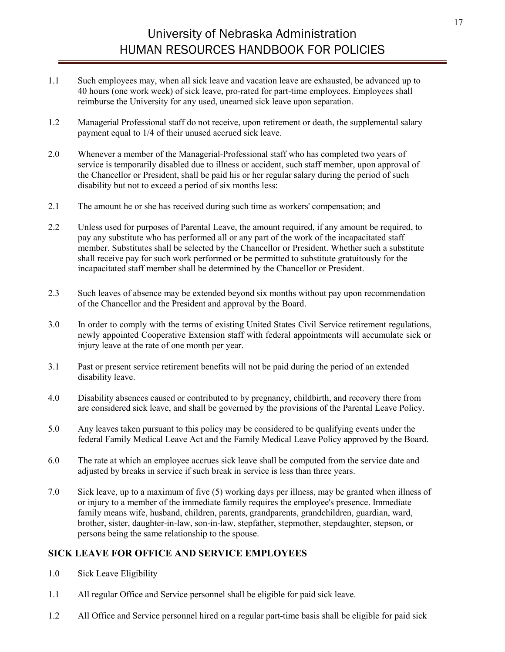- 1.1 Such employees may, when all sick leave and vacation leave are exhausted, be advanced up to 40 hours (one work week) of sick leave, pro-rated for part-time employees. Employees shall reimburse the University for any used, unearned sick leave upon separation.
- 1.2 Managerial Professional staff do not receive, upon retirement or death, the supplemental salary payment equal to 1/4 of their unused accrued sick leave.
- 2.0 Whenever a member of the Managerial-Professional staff who has completed two years of service is temporarily disabled due to illness or accident, such staff member, upon approval of the Chancellor or President, shall be paid his or her regular salary during the period of such disability but not to exceed a period of six months less:
- 2.1 The amount he or she has received during such time as workers' compensation; and
- 2.2 Unless used for purposes of Parental Leave, the amount required, if any amount be required, to pay any substitute who has performed all or any part of the work of the incapacitated staff member. Substitutes shall be selected by the Chancellor or President. Whether such a substitute shall receive pay for such work performed or be permitted to substitute gratuitously for the incapacitated staff member shall be determined by the Chancellor or President.
- 2.3 Such leaves of absence may be extended beyond six months without pay upon recommendation of the Chancellor and the President and approval by the Board.
- 3.0 In order to comply with the terms of existing United States Civil Service retirement regulations, newly appointed Cooperative Extension staff with federal appointments will accumulate sick or injury leave at the rate of one month per year.
- 3.1 Past or present service retirement benefits will not be paid during the period of an extended disability leave.
- 4.0 Disability absences caused or contributed to by pregnancy, childbirth, and recovery there from are considered sick leave, and shall be governed by the provisions of the Parental Leave Policy.
- 5.0 Any leaves taken pursuant to this policy may be considered to be qualifying events under the federal Family Medical Leave Act and the Family Medical Leave Policy approved by the Board.
- 6.0 The rate at which an employee accrues sick leave shall be computed from the service date and adjusted by breaks in service if such break in service is less than three years.
- 7.0 Sick leave, up to a maximum of five (5) working days per illness, may be granted when illness of or injury to a member of the immediate family requires the employee's presence. Immediate family means wife, husband, children, parents, grandparents, grandchildren, guardian, ward, brother, sister, daughter-in-law, son-in-law, stepfather, stepmother, stepdaughter, stepson, or persons being the same relationship to the spouse.

## **SICK LEAVE FOR OFFICE AND SERVICE EMPLOYEES**

- 1.0 Sick Leave Eligibility
- 1.1 All regular Office and Service personnel shall be eligible for paid sick leave.
- 1.2 All Office and Service personnel hired on a regular part-time basis shall be eligible for paid sick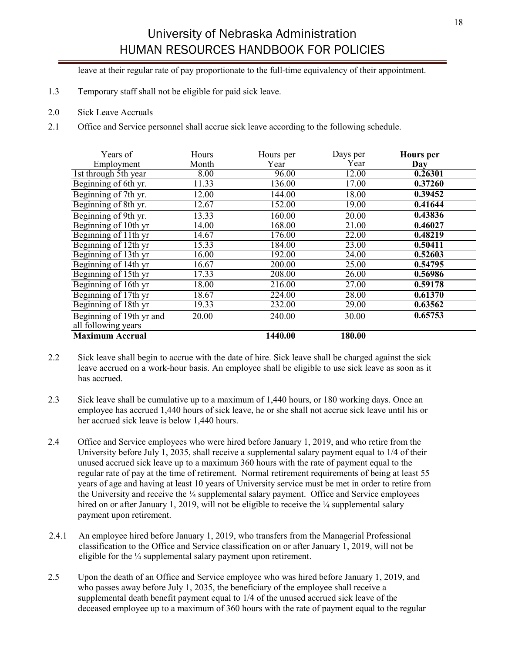leave at their regular rate of pay proportionate to the full-time equivalency of their appointment.

- 1.3 Temporary staff shall not be eligible for paid sick leave.
- 2.0 Sick Leave Accruals
- 2.1 Office and Service personnel shall accrue sick leave according to the following schedule.

| Years of                                        | Hours | Hours per | Days per | <b>Hours</b> per |
|-------------------------------------------------|-------|-----------|----------|------------------|
| Employment                                      | Month | Year      | Year     | Day              |
| 1st through 5th year                            | 8.00  | 96.00     | 12.00    | 0.26301          |
| Beginning of 6th yr.                            | 11.33 | 136.00    | 17.00    | 0.37260          |
| Beginning of 7th yr.                            | 12.00 | 144.00    | 18.00    | 0.39452          |
| Beginning of 8th yr.                            | 12.67 | 152.00    | 19.00    | 0.41644          |
| Beginning of 9th yr.                            | 13.33 | 160.00    | 20.00    | 0.43836          |
| Beginning of 10th yr                            | 14.00 | 168.00    | 21.00    | 0.46027          |
| Beginning of 11th yr                            | 14.67 | 176.00    | 22.00    | 0.48219          |
| Beginning of 12th yr                            | 15.33 | 184.00    | 23.00    | 0.50411          |
| Beginning of $13th$ yr                          | 16.00 | 192.00    | 24.00    | 0.52603          |
| Beginning of 14th yr                            | 16.67 | 200.00    | 25.00    | 0.54795          |
| Beginning of 15th yr                            | 17.33 | 208.00    | 26.00    | 0.56986          |
| Beginning of 16th yr                            | 18.00 | 216.00    | 27.00    | 0.59178          |
| Beginning of 17th yr                            | 18.67 | 224.00    | 28.00    | 0.61370          |
| Beginning of 18th yr                            | 19.33 | 232.00    | 29.00    | 0.63562          |
| Beginning of 19th yr and<br>all following years | 20.00 | 240.00    | 30.00    | 0.65753          |
| <b>Maximum Accrual</b>                          |       | 1440.00   | 180.00   |                  |

- 2.2 Sick leave shall begin to accrue with the date of hire. Sick leave shall be charged against the sick leave accrued on a work-hour basis. An employee shall be eligible to use sick leave as soon as it has accrued.
- 2.3 Sick leave shall be cumulative up to a maximum of 1,440 hours, or 180 working days. Once an employee has accrued 1,440 hours of sick leave, he or she shall not accrue sick leave until his or her accrued sick leave is below 1,440 hours.
- 2.4 Office and Service employees who were hired before January 1, 2019, and who retire from the University before July 1, 2035, shall receive a supplemental salary payment equal to 1/4 of their unused accrued sick leave up to a maximum 360 hours with the rate of payment equal to the regular rate of pay at the time of retirement. Normal retirement requirements of being at least 55 years of age and having at least 10 years of University service must be met in order to retire from the University and receive the ¼ supplemental salary payment. Office and Service employees hired on or after January 1, 2019, will not be eligible to receive the  $\frac{1}{4}$  supplemental salary payment upon retirement.
- 2.4.1 An employee hired before January 1, 2019, who transfers from the Managerial Professional classification to the Office and Service classification on or after January 1, 2019, will not be eligible for the ¼ supplemental salary payment upon retirement.
- 2.5 Upon the death of an Office and Service employee who was hired before January 1, 2019, and who passes away before July 1, 2035, the beneficiary of the employee shall receive a supplemental death benefit payment equal to 1/4 of the unused accrued sick leave of the deceased employee up to a maximum of 360 hours with the rate of payment equal to the regular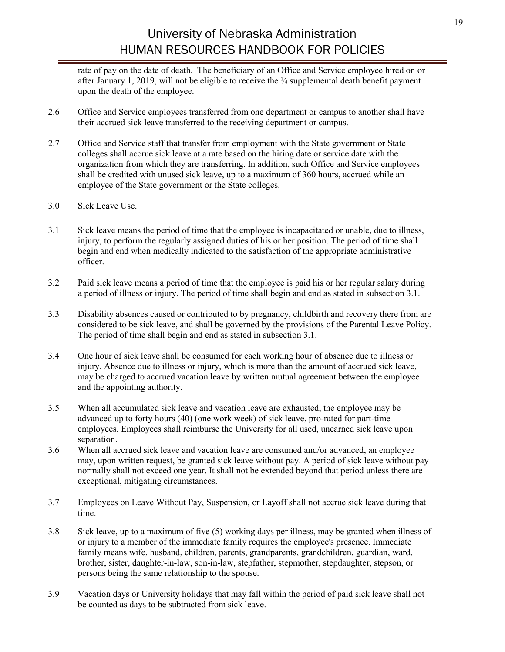rate of pay on the date of death. The beneficiary of an Office and Service employee hired on or after January 1, 2019, will not be eligible to receive the ¼ supplemental death benefit payment upon the death of the employee.

- 2.6 Office and Service employees transferred from one department or campus to another shall have their accrued sick leave transferred to the receiving department or campus.
- 2.7 Office and Service staff that transfer from employment with the State government or State colleges shall accrue sick leave at a rate based on the hiring date or service date with the organization from which they are transferring. In addition, such Office and Service employees shall be credited with unused sick leave, up to a maximum of 360 hours, accrued while an employee of the State government or the State colleges.
- 3.0 Sick Leave Use.
- 3.1 Sick leave means the period of time that the employee is incapacitated or unable, due to illness, injury, to perform the regularly assigned duties of his or her position. The period of time shall begin and end when medically indicated to the satisfaction of the appropriate administrative officer.
- 3.2 Paid sick leave means a period of time that the employee is paid his or her regular salary during a period of illness or injury. The period of time shall begin and end as stated in subsection 3.1.
- 3.3 Disability absences caused or contributed to by pregnancy, childbirth and recovery there from are considered to be sick leave, and shall be governed by the provisions of the Parental Leave Policy. The period of time shall begin and end as stated in subsection 3.1.
- 3.4 One hour of sick leave shall be consumed for each working hour of absence due to illness or injury. Absence due to illness or injury, which is more than the amount of accrued sick leave, may be charged to accrued vacation leave by written mutual agreement between the employee and the appointing authority.
- 3.5 When all accumulated sick leave and vacation leave are exhausted, the employee may be advanced up to forty hours (40) (one work week) of sick leave, pro-rated for part-time employees. Employees shall reimburse the University for all used, unearned sick leave upon separation.
- 3.6 When all accrued sick leave and vacation leave are consumed and/or advanced, an employee may, upon written request, be granted sick leave without pay. A period of sick leave without pay normally shall not exceed one year. It shall not be extended beyond that period unless there are exceptional, mitigating circumstances.
- 3.7 Employees on Leave Without Pay, Suspension, or Layoff shall not accrue sick leave during that time.
- 3.8 Sick leave, up to a maximum of five (5) working days per illness, may be granted when illness of or injury to a member of the immediate family requires the employee's presence. Immediate family means wife, husband, children, parents, grandparents, grandchildren, guardian, ward, brother, sister, daughter-in-law, son-in-law, stepfather, stepmother, stepdaughter, stepson, or persons being the same relationship to the spouse.
- 3.9 Vacation days or University holidays that may fall within the period of paid sick leave shall not be counted as days to be subtracted from sick leave.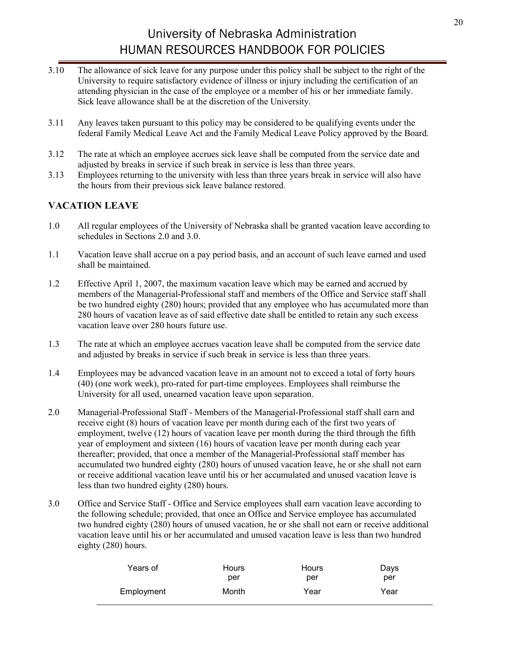- 3.10 The allowance of sick leave for any purpose under this policy shall be subject to the right of the University to require satisfactory evidence of illness or injury including the certification of an attending physician in the case of the employee or a member of his or her immediate family. Sick leave allowance shall be at the discretion of the University.
- 3.11 Any leaves taken pursuant to this policy may be considered to be qualifying events under the federal Family Medical Leave Act and the Family Medical Leave Policy approved by the Board.
- 3.12 The rate at which an employee accrues sick leave shall be computed from the service date and adjusted by breaks in service if such break in service is less than three years.
- 3.13 Employees returning to the university with less than three years break in service will also have the hours from their previous sick leave balance restored.

### **VACATION LEAVE**

- 1.0 All regular employees of the University of Nebraska shall be granted vacation leave according to schedules in Sections 2.0 and 3.0.
- 1.1 Vacation leave shall accrue on a pay period basis, and an account of such leave earned and used shall be maintained.
- 1.2 Effective April 1, 2007, the maximum vacation leave which may be earned and accrued by members of the Managerial-Professional staff and members of the Office and Service staff shall be two hundred eighty (280) hours; provided that any employee who has accumulated more than 280 hours of vacation leave as of said effective date shall be entitled to retain any such excess vacation leave over 280 hours future use.
- 1.3 The rate at which an employee accrues vacation leave shall be computed from the service date and adjusted by breaks in service if such break in service is less than three years.
- 1.4 Employees may be advanced vacation leave in an amount not to exceed a total of forty hours (40) (one work week), pro-rated for part-time employees. Employees shall reimburse the University for all used, unearned vacation leave upon separation.
- 2.0 Managerial-Professional Staff Members of the Managerial-Professional staff shall earn and receive eight (8) hours of vacation leave per month during each of the first two years of employment, twelve (12) hours of vacation leave per month during the third through the fifth year of employment and sixteen (16) hours of vacation leave per month during each year thereafter; provided, that once a member of the Managerial-Professional staff member has accumulated two hundred eighty (280) hours of unused vacation leave, he or she shall not earn or receive additional vacation leave until his or her accumulated and unused vacation leave is less than two hundred eighty (280) hours.
- 3.0 Office and Service Staff Office and Service employees shall earn vacation leave according to the following schedule; provided, that once an Office and Service employee has accumulated two hundred eighty (280) hours of unused vacation, he or she shall not earn or receive additional vacation leave until his or her accumulated and unused vacation leave is less than two hundred eighty (280) hours.

| Years of   | <b>Hours</b> | <b>Hours</b> | Days |
|------------|--------------|--------------|------|
|            | per          | per          | per  |
| Employment | Month        | Year         | Year |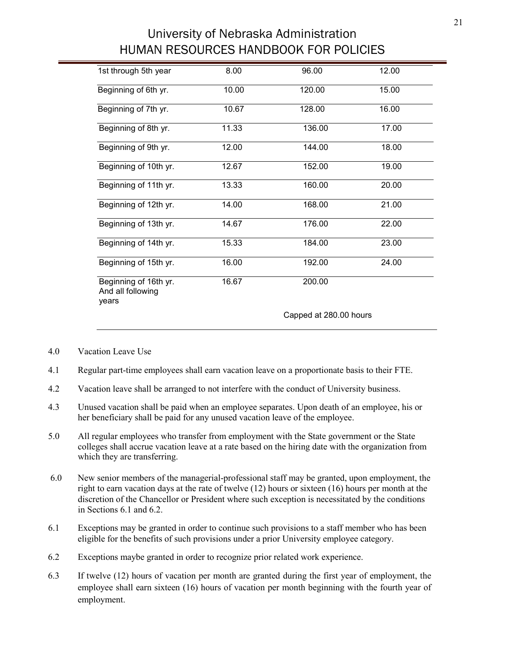| 1st through 5th year                                | 8.00  | 96.00                  | 12.00 |
|-----------------------------------------------------|-------|------------------------|-------|
| Beginning of 6th yr.                                | 10.00 | 120.00                 | 15.00 |
| Beginning of 7th yr.                                | 10.67 | 128.00                 | 16.00 |
| Beginning of 8th yr.                                | 11.33 | 136.00                 | 17.00 |
| Beginning of 9th yr.                                | 12.00 | 144.00                 | 18.00 |
| Beginning of 10th yr.                               | 12.67 | 152.00                 | 19.00 |
| Beginning of 11th yr.                               | 13.33 | 160.00                 | 20.00 |
| Beginning of 12th yr.                               | 14.00 | 168.00                 | 21.00 |
| Beginning of 13th yr.                               | 14.67 | 176.00                 | 22.00 |
| Beginning of 14th yr.                               | 15.33 | 184.00                 | 23.00 |
| Beginning of 15th yr.                               | 16.00 | 192.00                 | 24.00 |
| Beginning of 16th yr.<br>And all following<br>years | 16.67 | 200.00                 |       |
|                                                     |       | Capped at 280.00 hours |       |

- 4.0 Vacation Leave Use
- 4.1 Regular part-time employees shall earn vacation leave on a proportionate basis to their FTE.
- 4.2 Vacation leave shall be arranged to not interfere with the conduct of University business.
- 4.3 Unused vacation shall be paid when an employee separates. Upon death of an employee, his or her beneficiary shall be paid for any unused vacation leave of the employee.
- 5.0 All regular employees who transfer from employment with the State government or the State colleges shall accrue vacation leave at a rate based on the hiring date with the organization from which they are transferring.
- 6.0 New senior members of the managerial-professional staff may be granted, upon employment, the right to earn vacation days at the rate of twelve (12) hours or sixteen (16) hours per month at the discretion of the Chancellor or President where such exception is necessitated by the conditions in Sections 6.1 and 6.2.
- 6.1 Exceptions may be granted in order to continue such provisions to a staff member who has been eligible for the benefits of such provisions under a prior University employee category.
- 6.2 Exceptions maybe granted in order to recognize prior related work experience.
- 6.3 If twelve (12) hours of vacation per month are granted during the first year of employment, the employee shall earn sixteen (16) hours of vacation per month beginning with the fourth year of employment.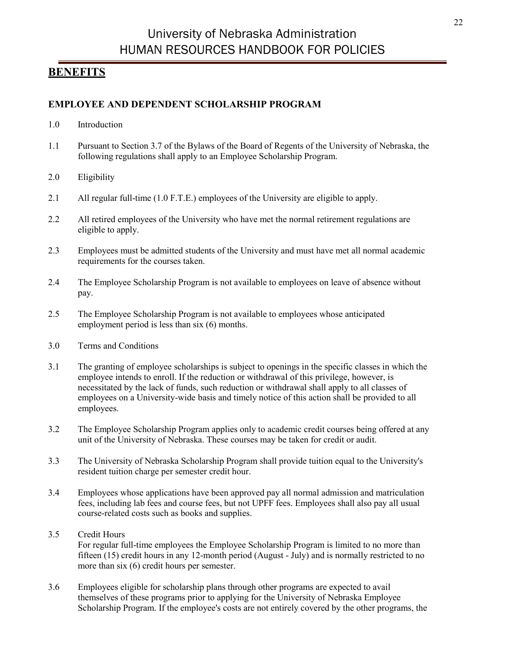## **BENEFITS**

#### **EMPLOYEE AND DEPENDENT SCHOLARSHIP PROGRAM**

- 1.0 Introduction
- 1.1 Pursuant to Section 3.7 of the Bylaws of the Board of Regents of the University of Nebraska, the following regulations shall apply to an Employee Scholarship Program.
- 2.0 Eligibility
- 2.1 All regular full-time (1.0 F.T.E.) employees of the University are eligible to apply.
- 2.2 All retired employees of the University who have met the normal retirement regulations are eligible to apply.
- 2.3 Employees must be admitted students of the University and must have met all normal academic requirements for the courses taken.
- 2.4 The Employee Scholarship Program is not available to employees on leave of absence without pay.
- 2.5 The Employee Scholarship Program is not available to employees whose anticipated employment period is less than six (6) months.
- 3.0 Terms and Conditions
- 3.1 The granting of employee scholarships is subject to openings in the specific classes in which the employee intends to enroll. If the reduction or withdrawal of this privilege, however, is necessitated by the lack of funds, such reduction or withdrawal shall apply to all classes of employees on a University-wide basis and timely notice of this action shall be provided to all employees.
- 3.2 The Employee Scholarship Program applies only to academic credit courses being offered at any unit of the University of Nebraska. These courses may be taken for credit or audit.
- 3.3 The University of Nebraska Scholarship Program shall provide tuition equal to the University's resident tuition charge per semester credit hour.
- 3.4 Employees whose applications have been approved pay all normal admission and matriculation fees, including lab fees and course fees, but not UPFF fees. Employees shall also pay all usual course-related costs such as books and supplies.
- 3.5 Credit Hours For regular full-time employees the Employee Scholarship Program is limited to no more than fifteen (15) credit hours in any 12-month period (August - July) and is normally restricted to no more than six (6) credit hours per semester.
- 3.6 Employees eligible for scholarship plans through other programs are expected to avail themselves of these programs prior to applying for the University of Nebraska Employee Scholarship Program. If the employee's costs are not entirely covered by the other programs, the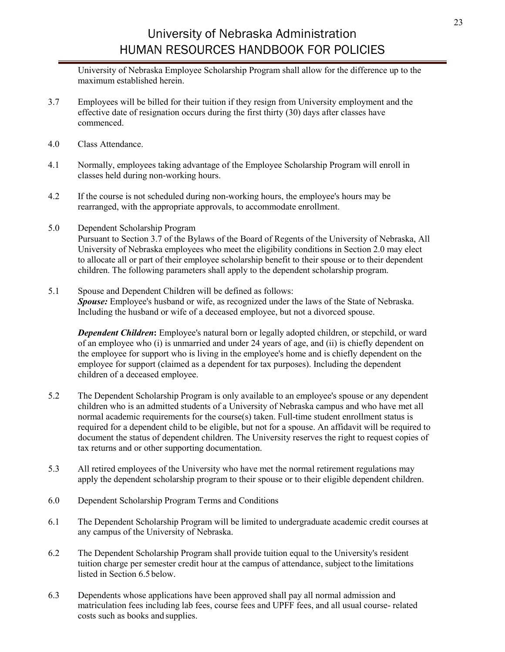University of Nebraska Employee Scholarship Program shall allow for the difference up to the maximum established herein.

- 3.7 Employees will be billed for their tuition if they resign from University employment and the effective date of resignation occurs during the first thirty (30) days after classes have commenced.
- 4.0 Class Attendance.
- 4.1 Normally, employees taking advantage of the Employee Scholarship Program will enroll in classes held during non-working hours.
- 4.2 If the course is not scheduled during non-working hours, the employee's hours may be rearranged, with the appropriate approvals, to accommodate enrollment.
- 5.0 Dependent Scholarship Program

Pursuant to Section 3.7 of the Bylaws of the Board of Regents of the University of Nebraska, All University of Nebraska employees who meet the eligibility conditions in Section 2.0 may elect to allocate all or part of their employee scholarship benefit to their spouse or to their dependent children. The following parameters shall apply to the dependent scholarship program.

#### 5.1 Spouse and Dependent Children will be defined as follows:

*Spouse:* Employee's husband or wife, as recognized under the laws of the State of Nebraska. Including the husband or wife of a deceased employee, but not a divorced spouse.

*Dependent Children***:** Employee's natural born or legally adopted children, or stepchild, or ward of an employee who (i) is unmarried and under 24 years of age, and (ii) is chiefly dependent on the employee for support who is living in the employee's home and is chiefly dependent on the employee for support (claimed as a dependent for tax purposes). Including the dependent children of a deceased employee.

- 5.2 The Dependent Scholarship Program is only available to an employee's spouse or any dependent children who is an admitted students of a University of Nebraska campus and who have met all normal academic requirements for the course(s) taken. Full-time student enrollment status is required for a dependent child to be eligible, but not for a spouse. An affidavit will be required to document the status of dependent children. The University reserves the right to request copies of tax returns and or other supporting documentation.
- 5.3 All retired employees of the University who have met the normal retirement regulations may apply the dependent scholarship program to their spouse or to their eligible dependent children.
- 6.0 Dependent Scholarship Program Terms and Conditions
- 6.1 The Dependent Scholarship Program will be limited to undergraduate academic credit courses at any campus of the University of Nebraska.
- 6.2 The Dependent Scholarship Program shall provide tuition equal to the University's resident tuition charge per semester credit hour at the campus of attendance, subject tothe limitations listed in Section 6.5 below.
- 6.3 Dependents whose applications have been approved shall pay all normal admission and matriculation fees including lab fees, course fees and UPFF fees, and all usual course- related costs such as books and supplies.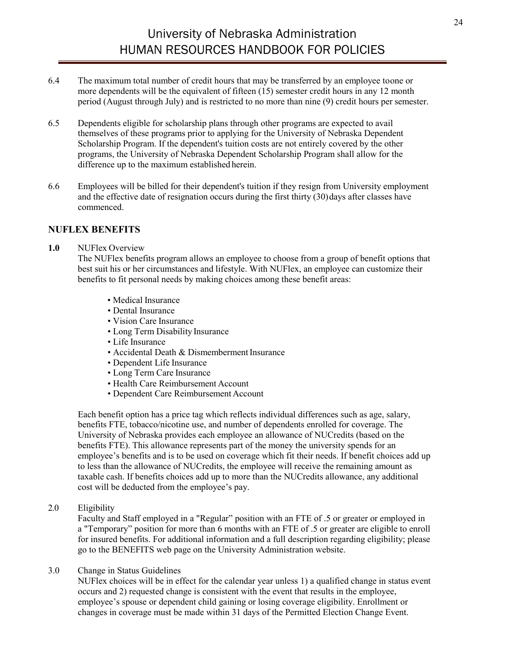- 6.4 The maximum total number of credit hours that may be transferred by an employee toone or more dependents will be the equivalent of fifteen (15) semester credit hours in any 12 month period (August through July) and is restricted to no more than nine (9) credit hours per semester.
- 6.5 Dependents eligible for scholarship plans through other programs are expected to avail themselves of these programs prior to applying for the University of Nebraska Dependent Scholarship Program. If the dependent's tuition costs are not entirely covered by the other programs, the University of Nebraska Dependent Scholarship Program shall allow for the difference up to the maximum established herein.
- 6.6 Employees will be billed for their dependent's tuition if they resign from University employment and the effective date of resignation occurs during the first thirty (30) days after classes have commenced.

#### **NUFLEX BENEFITS**

#### **1.0** NUFlex Overview

The NUFlex benefits program allows an employee to choose from a group of benefit options that best suit his or her circumstances and lifestyle. With NUFlex, an employee can customize their benefits to fit personal needs by making choices among these benefit areas:

- Medical Insurance
- Dental Insurance
- Vision Care Insurance
- Long Term Disability Insurance
- Life Insurance
- Accidental Death & Dismemberment Insurance
- Dependent Life Insurance
- Long Term Care Insurance
- Health Care Reimbursement Account
- Dependent Care Reimbursement Account

Each benefit option has a price tag which reflects individual differences such as age, salary, benefits FTE, tobacco/nicotine use, and number of dependents enrolled for coverage. The University of Nebraska provides each employee an allowance of NUCredits (based on the benefits FTE). This allowance represents part of the money the university spends for an employee's benefits and is to be used on coverage which fit their needs. If benefit choices add up to less than the allowance of NUCredits, the employee will receive the remaining amount as taxable cash. If benefits choices add up to more than the NUCredits allowance, any additional cost will be deducted from the employee's pay.

2.0 Eligibility

Faculty and Staff employed in a "Regular" position with an FTE of .5 or greater or employed in a "Temporary" position for more than 6 months with an FTE of .5 or greater are eligible to enroll for insured benefits. For additional information and a full description regarding eligibility; please go to the [BENEFITS w](http://nebraska.edu/faculty-and-staff/benefits.html)eb page on the University Administration website.

#### 3.0 Change in Status Guidelines

NUFlex choices will be in effect for the calendar year unless 1) a qualified change in status event occurs and 2) requested change is consistent with the event that results in the employee, employee's spouse or dependent child gaining or losing coverage eligibility. Enrollment or changes in coverage must be made within 31 days of the Permitted Election Change Event.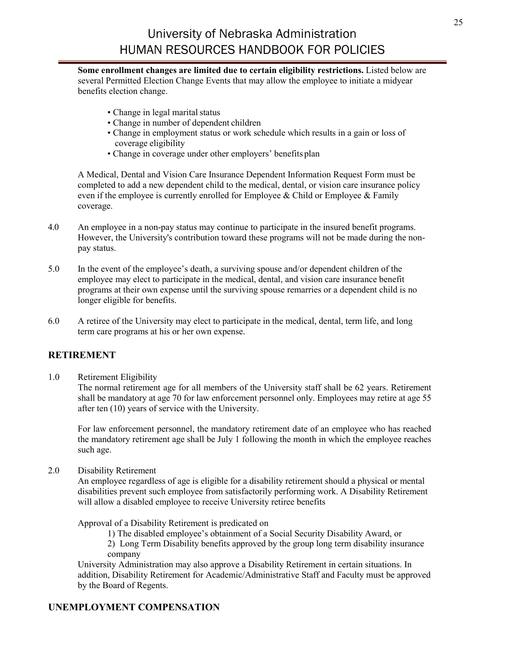#### **Some enrollment changes are limited due to certain eligibility restrictions.** Listed below are several Permitted Election Change Events that may allow the employee to initiate a midyear benefits election change.

- Change in legal marital status
- Change in number of dependent children
- Change in employment status or work schedule which results in a gain or loss of coverage eligibility
- Change in coverage under other employers' benefits plan

A Medical, Dental and Vision Care Insurance Dependent Information Request Form must be completed to add a new dependent child to the medical, dental, or vision care insurance policy even if the employee is currently enrolled for Employee & Child or Employee & Family coverage.

- 4.0 An employee in a non-pay status may continue to participate in the insured benefit programs. However, the University's contribution toward these programs will not be made during the nonpay status.
- 5.0 In the event of the employee's death, a surviving spouse and/or dependent children of the employee may elect to participate in the medical, dental, and vision care insurance benefit programs at their own expense until the surviving spouse remarries or a dependent child is no longer eligible for benefits.
- 6.0 A retiree of the University may elect to participate in the medical, dental, term life, and long term care programs at his or her own expense.

#### **RETIREMENT**

1.0 Retirement Eligibility

The normal retirement age for all members of the University staff shall be 62 years. Retirement shall be mandatory at age 70 for law enforcement personnel only. Employees may retire at age 55 after ten (10) years of service with the University.

For law enforcement personnel, the mandatory retirement date of an employee who has reached the mandatory retirement age shall be July 1 following the month in which the employee reaches such age.

2.0 Disability Retirement

An employee regardless of age is eligible for a disability retirement should a physical or mental disabilities prevent such employee from satisfactorily performing work. A Disability Retirement will allow a disabled employee to receive University retiree benefits

Approval of a Disability Retirement is predicated on

1) The disabled employee's obtainment of a Social Security Disability Award, or

2) Long Term Disability benefits approved by the group long term disability insurance company

University Administration may also approve a Disability Retirement in certain situations. In addition, Disability Retirement for Academic/Administrative Staff and Faculty must be approved by the Board of Regents.

## **UNEMPLOYMENT COMPENSATION**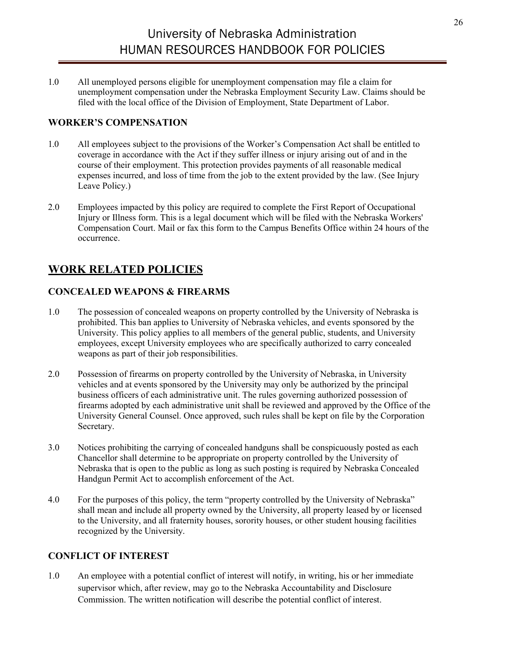1.0 All unemployed persons eligible for unemployment compensation may file a claim for unemployment compensation under the Nebraska Employment Security Law. Claims should be filed with the local office of the Division of Employment, State Department of Labor.

### **WORKER'S COMPENSATION**

- 1.0 All employees subject to the provisions of the Worker's Compensation Act shall be entitled to coverage in accordance with the Act if they suffer illness or injury arising out of and in the course of their employment. This protection provides payments of all reasonable medical expenses incurred, and loss of time from the job to the extent provided by the law. (See Injury Leave Policy.)
- 2.0 Employees impacted by this policy are required to complete the First Report of Occupational Injury or Illness form. This is a legal document which will be filed with the Nebraska Workers' Compensation Court. Mail or fax this form to the Campus Benefits Office within 24 hours of the occurrence.

## **WORK RELATED POLICIES**

## **CONCEALED WEAPONS & FIREARMS**

- 1.0 The possession of concealed weapons on property controlled by the University of Nebraska is prohibited. This ban applies to University of Nebraska vehicles, and events sponsored by the University. This policy applies to all members of the general public, students, and University employees, except University employees who are specifically authorized to carry concealed weapons as part of their job responsibilities.
- 2.0 Possession of firearms on property controlled by the University of Nebraska, in University vehicles and at events sponsored by the University may only be authorized by the principal business officers of each administrative unit. The rules governing authorized possession of firearms adopted by each administrative unit shall be reviewed and approved by the Office of the University General Counsel. Once approved, such rules shall be kept on file by the Corporation Secretary.
- 3.0 Notices prohibiting the carrying of concealed handguns shall be conspicuously posted as each Chancellor shall determine to be appropriate on property controlled by the University of Nebraska that is open to the public as long as such posting is required by Nebraska Concealed Handgun Permit Act to accomplish enforcement of the Act.
- 4.0 For the purposes of this policy, the term "property controlled by the University of Nebraska" shall mean and include all property owned by the University, all property leased by or licensed to the University, and all fraternity houses, sorority houses, or other student housing facilities recognized by the University.

#### **CONFLICT OF INTEREST**

1.0 An employee with a potential conflict of interest will notify, in writing, his or her immediate supervisor which, after review, may go to the Nebraska Accountability and Disclosure Commission. The written notification will describe the potential conflict of interest.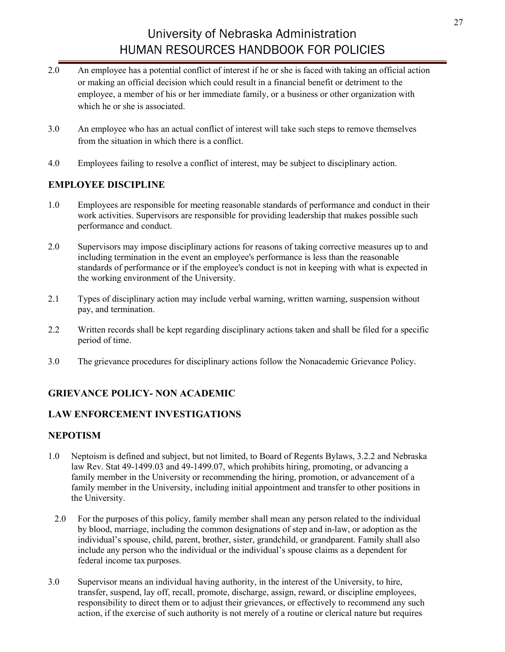- 2.0 An employee has a potential conflict of interest if he or she is faced with taking an official action or making an official decision which could result in a financial benefit or detriment to the employee, a member of his or her immediate family, or a business or other organization with which he or she is associated.
- 3.0 An employee who has an actual conflict of interest will take such steps to remove themselves from the situation in which there is a conflict.
- 4.0 Employees failing to resolve a conflict of interest, may be subject to disciplinary action.

## **EMPLOYEE DISCIPLINE**

- 1.0 Employees are responsible for meeting reasonable standards of performance and conduct in their work activities. Supervisors are responsible for providing leadership that makes possible such performance and conduct.
- 2.0 Supervisors may impose disciplinary actions for reasons of taking corrective measures up to and including termination in the event an employee's performance is less than the reasonable standards of performance or if the employee's conduct is not in keeping with what is expected in the working environment of the University.
- 2.1 Types of disciplinary action may include verbal warning, written warning, suspension without pay, and termination.
- 2.2 Written records shall be kept regarding disciplinary actions taken and shall be filed for a specific period of time.
- 3.0 The grievance procedures for disciplinary actions follow the Nonacademic Grievance Policy.

## **GRIEVANCE POLICY- NON ACADEMIC**

## **LAW ENFORCEMENT INVESTIGATIONS**

#### **NEPOTISM**

- 1.0 Neptoism is defined and subject, but not limited, to Board of Regents Bylaws, 3.2.2 and Nebraska law Rev. Stat 49-1499.03 and 49-1499.07, which prohibits hiring, promoting, or advancing a family member in the University or recommending the hiring, promotion, or advancement of a family member in the University, including initial appointment and transfer to other positions in the University.
- 2.0 For the purposes of this policy, family member shall mean any person related to the individual by blood, marriage, including the common designations of step and in-law, or adoption as the individual's spouse, child, parent, brother, sister, grandchild, or grandparent. Family shall also include any person who the individual or the individual's spouse claims as a dependent for federal income tax purposes.
- 3.0 Supervisor means an individual having authority, in the interest of the University, to hire, transfer, suspend, lay off, recall, promote, discharge, assign, reward, or discipline employees, responsibility to direct them or to adjust their grievances, or effectively to recommend any such action, if the exercise of such authority is not merely of a routine or clerical nature but requires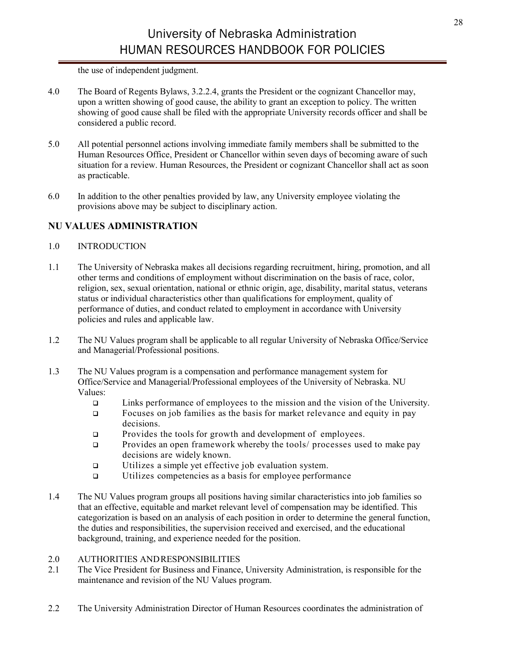the use of independent judgment.

- 4.0 The Board of Regents Bylaws, 3.2.2.4, grants the President or the cognizant Chancellor may, upon a written showing of good cause, the ability to grant an exception to policy. The written showing of good cause shall be filed with the appropriate University records officer and shall be considered a public record.
- 5.0 All potential personnel actions involving immediate family members shall be submitted to the Human Resources Office, President or Chancellor within seven days of becoming aware of such situation for a review. Human Resources, the President or cognizant Chancellor shall act as soon as practicable.
- 6.0 In addition to the other penalties provided by law, any University employee violating the provisions above may be subject to disciplinary action.

## **NU VALUES ADMINISTRATION**

### 1.0 INTRODUCTION

- 1.1 The University of Nebraska makes all decisions regarding recruitment, hiring, promotion, and all other terms and conditions of employment without discrimination on the basis of race, color, religion, sex, sexual orientation, national or ethnic origin, age, disability, marital status, veterans status or individual characteristics other than qualifications for employment, quality of performance of duties, and conduct related to employment in accordance with University policies and rules and applicable law.
- 1.2 The NU Values program shall be applicable to all regular University of Nebraska Office/Service and Managerial/Professional positions.
- 1.3 The NU Values program is a compensation and performance management system for Office/Service and Managerial/Professional employees of the University of Nebraska. NU Values:
	- Links performance of employees to the mission and the vision of the University.
	- Focuses on job families as the basis for market relevance and equity in pay decisions.
	- $\Box$  Provides the tools for growth and development of employees.
	- Provides an open framework whereby the tools/ processes used to make pay decisions are widely known.
	- Utilizes a simple yet effective job evaluation system.
	- Utilizes competencies as a basis for employee performance
- 1.4 The NU Values program groups all positions having similar characteristics into job families so that an effective, equitable and market relevant level of compensation may be identified. This categorization is based on an analysis of each position in order to determine the general function, the duties and responsibilities, the supervision received and exercised, and the educational background, training, and experience needed for the position.

#### 2.0 AUTHORITIES ANDRESPONSIBILITIES

- 2.1 The Vice President for Business and Finance, University Administration, is responsible for the maintenance and revision of the NU Values program.
- 2.2 The University Administration Director of Human Resources coordinates the administration of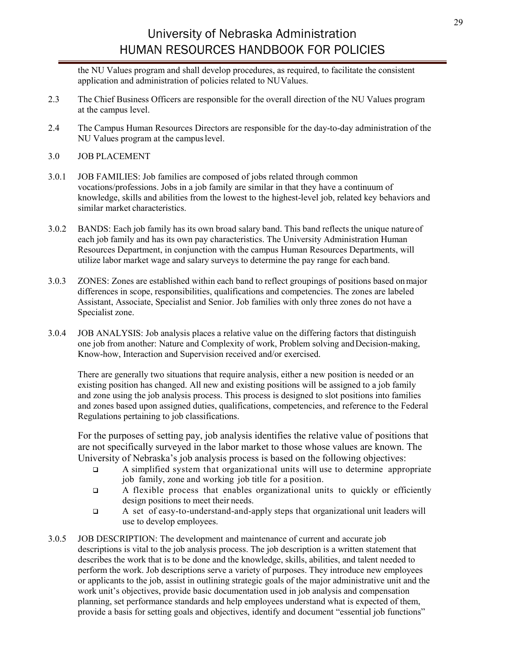the NU Values program and shall develop procedures, as required, to facilitate the consistent application and administration of policies related to NUValues.

- 2.3 The Chief Business Officers are responsible for the overall direction of the NU Values program at the campus level.
- 2.4 The Campus Human Resources Directors are responsible for the day-to-day administration of the NU Values program at the campuslevel.
- 3.0 JOB PLACEMENT
- 3.0.1 JOB FAMILIES: Job families are composed of jobs related through common vocations/professions. Jobs in a job family are similar in that they have a continuum of knowledge, skills and abilities from the lowest to the highest-level job, related key behaviors and similar market characteristics.
- 3.0.2 BANDS: Each job family has its own broad salary band. This band reflects the unique nature of each job family and has its own pay characteristics. The University Administration Human Resources Department, in conjunction with the campus Human Resources Departments, will utilize labor market wage and salary surveys to determine the pay range for each band.
- 3.0.3 ZONES: Zones are established within each band to reflect groupings of positions based onmajor differences in scope, responsibilities, qualifications and competencies. The zones are labeled Assistant, Associate, Specialist and Senior. Job families with only three zones do not have a Specialist zone.
- 3.0.4 JOB ANALYSIS: Job analysis places a relative value on the differing factors that distinguish one job from another: Nature and Complexity of work, Problem solving andDecision-making, Know-how, Interaction and Supervision received and/or exercised.

There are generally two situations that require analysis, either a new position is needed or an existing position has changed. All new and existing positions will be assigned to a job family and zone using the job analysis process. This process is designed to slot positions into families and zones based upon assigned duties, qualifications, competencies, and reference to the Federal Regulations pertaining to job classifications.

For the purposes of setting pay, job analysis identifies the relative value of positions that are not specifically surveyed in the labor market to those whose values are known. The University of Nebraska's job analysis process is based on the following objectives:

- $\Box$  A simplified system that organizational units will use to determine appropriate job family, zone and working job title for a position.
- A flexible process that enables organizational units to quickly or efficiently design positions to meet their needs.
- A set of easy-to-understand-and-apply steps that organizational unit leaders will use to develop employees.
- 3.0.5 JOB DESCRIPTION: The development and maintenance of current and accurate job descriptions is vital to the job analysis process. The job description is a written statement that describes the work that is to be done and the knowledge, skills, abilities, and talent needed to perform the work. Job descriptions serve a variety of purposes. They introduce new employees or applicants to the job, assist in outlining strategic goals of the major administrative unit and the work unit's objectives, provide basic documentation used in job analysis and compensation planning, set performance standards and help employees understand what is expected of them, provide a basis for setting goals and objectives, identify and document "essential job functions"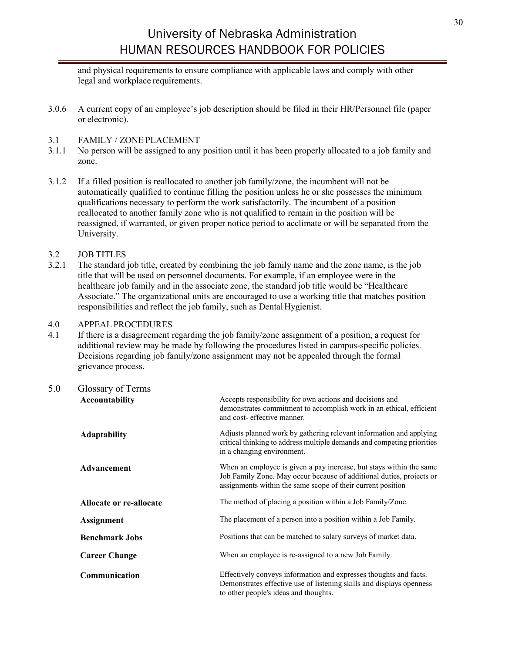and physical requirements to ensure compliance with applicable laws and comply with other legal and workplace requirements.

3.0.6 A current copy of an employee's job description should be filed in their HR/Personnel file (paper or electronic).

#### 3.1 FAMILY / ZONE PLACEMENT

- 3.1.1 No person will be assigned to any position until it has been properly allocated to a job family and zone.
- 3.1.2 If a filled position is reallocated to another job family/zone, the incumbent will not be automatically qualified to continue filling the position unless he or she possesses the minimum qualifications necessary to perform the work satisfactorily. The incumbent of a position reallocated to another family zone who is not qualified to remain in the position will be reassigned, if warranted, or given proper notice period to acclimate or will be separated from the University.

#### 3.2 JOB TITLES

3.2.1 The standard job title, created by combining the job family name and the zone name, is the job title that will be used on personnel documents. For example, if an employee were in the healthcare job family and in the associate zone, the standard job title would be "Healthcare Associate." The organizational units are encouraged to use a working title that matches position responsibilities and reflect the job family, such as Dental Hygienist.

#### 4.0 APPEAL PROCEDURES

4.1 If there is a disagreement regarding the job family/zone assignment of a position, a request for additional review may be made by following the procedures listed in campus-specific policies. Decisions regarding job family/zone assignment may not be appealed through the formal grievance process.

#### 5.0 Glossary of Terms

| <b>Accountability</b>   | Accepts responsibility for own actions and decisions and<br>demonstrates commitment to accomplish work in an ethical, efficient<br>and cost-effective manner.                                              |
|-------------------------|------------------------------------------------------------------------------------------------------------------------------------------------------------------------------------------------------------|
| <b>Adaptability</b>     | Adjusts planned work by gathering relevant information and applying<br>critical thinking to address multiple demands and competing priorities<br>in a changing environment.                                |
| Advancement             | When an employee is given a pay increase, but stays within the same<br>Job Family Zone. May occur because of additional duties, projects or<br>assignments within the same scope of their current position |
| Allocate or re-allocate | The method of placing a position within a Job Family/Zone.                                                                                                                                                 |
| Assignment              | The placement of a person into a position within a Job Family.                                                                                                                                             |
| <b>Benchmark Jobs</b>   | Positions that can be matched to salary surveys of market data.                                                                                                                                            |
| <b>Career Change</b>    | When an employee is re-assigned to a new Job Family.                                                                                                                                                       |
| Communication           | Effectively conveys information and expresses thoughts and facts.<br>Demonstrates effective use of listening skills and displays openness<br>to other people's ideas and thoughts.                         |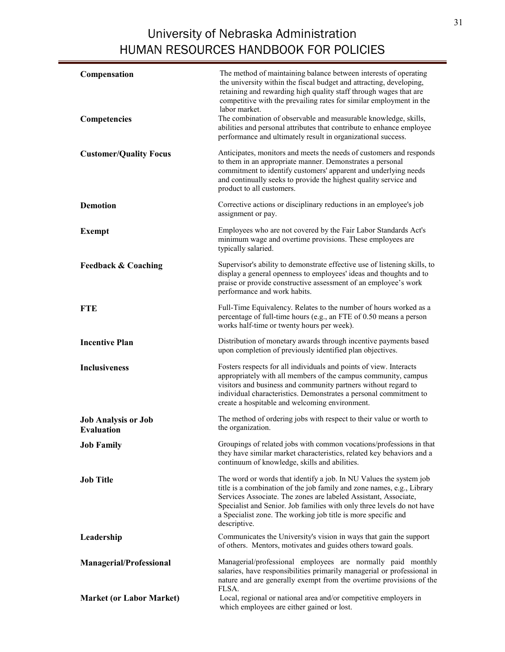| Compensation<br>Competencies                    | The method of maintaining balance between interests of operating<br>the university within the fiscal budget and attracting, developing,<br>retaining and rewarding high quality staff through wages that are<br>competitive with the prevailing rates for similar employment in the<br>labor market.<br>The combination of observable and measurable knowledge, skills,<br>abilities and personal attributes that contribute to enhance employee<br>performance and ultimately result in organizational success. |
|-------------------------------------------------|------------------------------------------------------------------------------------------------------------------------------------------------------------------------------------------------------------------------------------------------------------------------------------------------------------------------------------------------------------------------------------------------------------------------------------------------------------------------------------------------------------------|
| <b>Customer/Quality Focus</b>                   | Anticipates, monitors and meets the needs of customers and responds<br>to them in an appropriate manner. Demonstrates a personal<br>commitment to identify customers' apparent and underlying needs<br>and continually seeks to provide the highest quality service and<br>product to all customers.                                                                                                                                                                                                             |
| <b>Demotion</b>                                 | Corrective actions or disciplinary reductions in an employee's job<br>assignment or pay.                                                                                                                                                                                                                                                                                                                                                                                                                         |
| <b>Exempt</b>                                   | Employees who are not covered by the Fair Labor Standards Act's<br>minimum wage and overtime provisions. These employees are<br>typically salaried.                                                                                                                                                                                                                                                                                                                                                              |
| <b>Feedback &amp; Coaching</b>                  | Supervisor's ability to demonstrate effective use of listening skills, to<br>display a general openness to employees' ideas and thoughts and to<br>praise or provide constructive assessment of an employee's work<br>performance and work habits.                                                                                                                                                                                                                                                               |
| <b>FTE</b>                                      | Full-Time Equivalency. Relates to the number of hours worked as a<br>percentage of full-time hours (e.g., an FTE of 0.50 means a person<br>works half-time or twenty hours per week).                                                                                                                                                                                                                                                                                                                            |
| <b>Incentive Plan</b>                           | Distribution of monetary awards through incentive payments based<br>upon completion of previously identified plan objectives.                                                                                                                                                                                                                                                                                                                                                                                    |
| <b>Inclusiveness</b>                            | Fosters respects for all individuals and points of view. Interacts<br>appropriately with all members of the campus community, campus<br>visitors and business and community partners without regard to<br>individual characteristics. Demonstrates a personal commitment to<br>create a hospitable and welcoming environment.                                                                                                                                                                                    |
| <b>Job Analysis or Job</b><br><b>Evaluation</b> | The method of ordering jobs with respect to their value or worth to<br>the organization.                                                                                                                                                                                                                                                                                                                                                                                                                         |
| <b>Job Family</b>                               | Groupings of related jobs with common vocations/professions in that<br>they have similar market characteristics, related key behaviors and a<br>continuum of knowledge, skills and abilities.                                                                                                                                                                                                                                                                                                                    |
| <b>Job Title</b>                                | The word or words that identify a job. In NU Values the system job<br>title is a combination of the job family and zone names, e.g., Library<br>Services Associate. The zones are labeled Assistant, Associate,<br>Specialist and Senior. Job families with only three levels do not have<br>a Specialist zone. The working job title is more specific and<br>descriptive.                                                                                                                                       |
| Leadership                                      | Communicates the University's vision in ways that gain the support<br>of others. Mentors, motivates and guides others toward goals.                                                                                                                                                                                                                                                                                                                                                                              |
| <b>Managerial/Professional</b>                  | Managerial/professional employees are normally paid monthly<br>salaries, have responsibilities primarily managerial or professional in<br>nature and are generally exempt from the overtime provisions of the<br>FLSA.                                                                                                                                                                                                                                                                                           |
| <b>Market (or Labor Market)</b>                 | Local, regional or national area and/or competitive employers in<br>which employees are either gained or lost.                                                                                                                                                                                                                                                                                                                                                                                                   |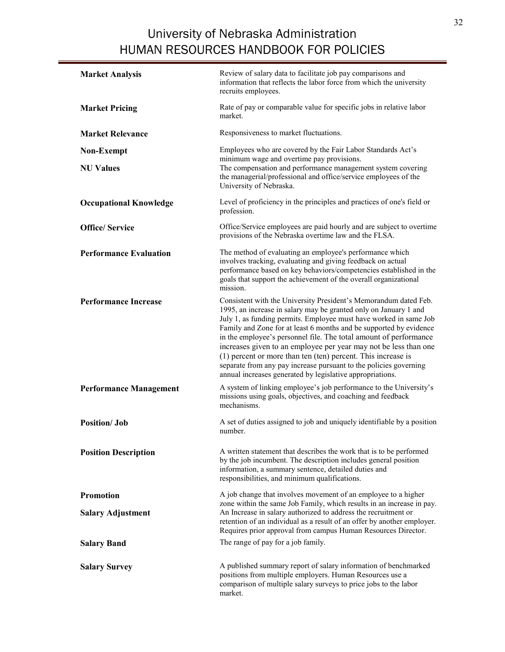| <b>Market Analysis</b>        | Review of salary data to facilitate job pay comparisons and<br>information that reflects the labor force from which the university<br>recruits employees.                                                                                                                                                                                                                                                                                                                                                                                                                                                                  |
|-------------------------------|----------------------------------------------------------------------------------------------------------------------------------------------------------------------------------------------------------------------------------------------------------------------------------------------------------------------------------------------------------------------------------------------------------------------------------------------------------------------------------------------------------------------------------------------------------------------------------------------------------------------------|
| <b>Market Pricing</b>         | Rate of pay or comparable value for specific jobs in relative labor<br>market.                                                                                                                                                                                                                                                                                                                                                                                                                                                                                                                                             |
| <b>Market Relevance</b>       | Responsiveness to market fluctuations.                                                                                                                                                                                                                                                                                                                                                                                                                                                                                                                                                                                     |
| <b>Non-Exempt</b>             | Employees who are covered by the Fair Labor Standards Act's<br>minimum wage and overtime pay provisions.                                                                                                                                                                                                                                                                                                                                                                                                                                                                                                                   |
| <b>NU</b> Values              | The compensation and performance management system covering<br>the managerial/professional and office/service employees of the<br>University of Nebraska.                                                                                                                                                                                                                                                                                                                                                                                                                                                                  |
| <b>Occupational Knowledge</b> | Level of proficiency in the principles and practices of one's field or<br>profession.                                                                                                                                                                                                                                                                                                                                                                                                                                                                                                                                      |
| <b>Office/Service</b>         | Office/Service employees are paid hourly and are subject to overtime<br>provisions of the Nebraska overtime law and the FLSA.                                                                                                                                                                                                                                                                                                                                                                                                                                                                                              |
| <b>Performance Evaluation</b> | The method of evaluating an employee's performance which<br>involves tracking, evaluating and giving feedback on actual<br>performance based on key behaviors/competencies established in the<br>goals that support the achievement of the overall organizational<br>mission.                                                                                                                                                                                                                                                                                                                                              |
| <b>Performance Increase</b>   | Consistent with the University President's Memorandum dated Feb.<br>1995, an increase in salary may be granted only on January 1 and<br>July 1, as funding permits. Employee must have worked in same Job<br>Family and Zone for at least 6 months and be supported by evidence<br>in the employee's personnel file. The total amount of performance<br>increases given to an employee per year may not be less than one<br>(1) percent or more than ten (ten) percent. This increase is<br>separate from any pay increase pursuant to the policies governing<br>annual increases generated by legislative appropriations. |
| <b>Performance Management</b> | A system of linking employee's job performance to the University's<br>missions using goals, objectives, and coaching and feedback<br>mechanisms.                                                                                                                                                                                                                                                                                                                                                                                                                                                                           |
| <b>Position/Job</b>           | A set of duties assigned to job and uniquely identifiable by a position<br>number.                                                                                                                                                                                                                                                                                                                                                                                                                                                                                                                                         |
| <b>Position Description</b>   | A written statement that describes the work that is to be performed<br>by the job incumbent. The description includes general position<br>information, a summary sentence, detailed duties and<br>responsibilities, and minimum qualifications.                                                                                                                                                                                                                                                                                                                                                                            |
| <b>Promotion</b>              | A job change that involves movement of an employee to a higher<br>zone within the same Job Family, which results in an increase in pay.                                                                                                                                                                                                                                                                                                                                                                                                                                                                                    |
| <b>Salary Adjustment</b>      | An Increase in salary authorized to address the recruitment or<br>retention of an individual as a result of an offer by another employer.<br>Requires prior approval from campus Human Resources Director.                                                                                                                                                                                                                                                                                                                                                                                                                 |
| <b>Salary Band</b>            | The range of pay for a job family.                                                                                                                                                                                                                                                                                                                                                                                                                                                                                                                                                                                         |
| <b>Salary Survey</b>          | A published summary report of salary information of benchmarked<br>positions from multiple employers. Human Resources use a<br>comparison of multiple salary surveys to price jobs to the labor<br>market.                                                                                                                                                                                                                                                                                                                                                                                                                 |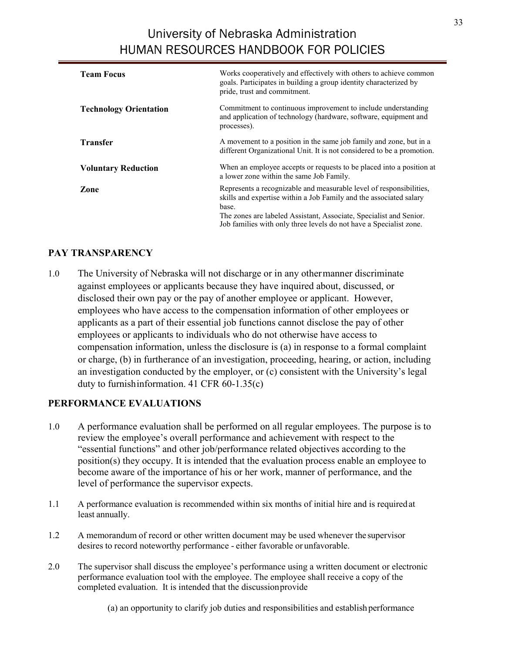| <b>Team Focus</b>             | Works cooperatively and effectively with others to achieve common<br>goals. Participates in building a group identity characterized by<br>pride, trust and commitment.                                                                                                                         |
|-------------------------------|------------------------------------------------------------------------------------------------------------------------------------------------------------------------------------------------------------------------------------------------------------------------------------------------|
| <b>Technology Orientation</b> | Commitment to continuous improvement to include understanding<br>and application of technology (hardware, software, equipment and<br>processes).                                                                                                                                               |
| <b>Transfer</b>               | A movement to a position in the same job family and zone, but in a<br>different Organizational Unit. It is not considered to be a promotion.                                                                                                                                                   |
| <b>Voluntary Reduction</b>    | When an employee accepts or requests to be placed into a position at<br>a lower zone within the same Job Family.                                                                                                                                                                               |
| Zone                          | Represents a recognizable and measurable level of responsibilities,<br>skills and expertise within a Job Family and the associated salary<br>base.<br>The zones are labeled Assistant, Associate, Specialist and Senior.<br>Job families with only three levels do not have a Specialist zone. |

### **PAY TRANSPARENCY**

1.0 The University of Nebraska will not discharge or in any othermanner discriminate against employees or applicants because they have inquired about, discussed, or disclosed their own pay or the pay of another employee or applicant. However, employees who have access to the compensation information of other employees or applicants as a part of their essential job functions cannot disclose the pay of other employees or applicants to individuals who do not otherwise have access to compensation information, unless the disclosure is (a) in response to a formal complaint or charge, (b) in furtherance of an investigation, proceeding, hearing, or action, including an investigation conducted by the employer, or (c) consistent with the University's legal duty to furnishinformation. 41 CFR 60-1.35(c)

## **PERFORMANCE EVALUATIONS**

- 1.0 A performance evaluation shall be performed on all regular employees. The purpose is to review the employee's overall performance and achievement with respect to the "essential functions" and other job/performance related objectives according to the position(s) they occupy. It is intended that the evaluation process enable an employee to become aware of the importance of his or her work, manner of performance, and the level of performance the supervisor expects.
- 1.1 A performance evaluation is recommended within six months of initial hire and is requiredat least annually.
- 1.2 A memorandum of record or other written document may be used whenever the supervisor desires to record noteworthy performance - either favorable or unfavorable.
- 2.0 The supervisor shall discuss the employee's performance using a written document or electronic performance evaluation tool with the employee. The employee shall receive a copy of the completed evaluation. It is intended that the discussionprovide

(a) an opportunity to clarify job duties and responsibilities and establish performance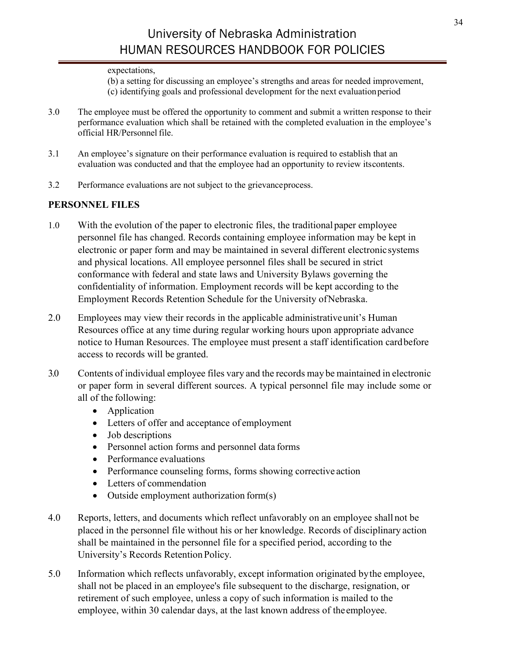#### expectations,

(b) a setting for discussing an employee's strengths and areas for needed improvement, (c) identifying goals and professional development for the next evaluationperiod

- 3.0 The employee must be offered the opportunity to comment and submit a written response to their performance evaluation which shall be retained with the completed evaluation in the employee's official HR/Personnel file.
- 3.1 An employee's signature on their performance evaluation is required to establish that an evaluation was conducted and that the employee had an opportunity to review itscontents.
- 3.2 Performance evaluations are not subject to the grievanceprocess.

### **PERSONNEL FILES**

- 1.0 With the evolution of the paper to electronic files, the traditionalpaper employee personnel file has changed. Records containing employee information may be kept in electronic or paper form and may be maintained in several different electronicsystems and physical locations. All employee personnel files shall be secured in strict conformance with federal and state laws and University Bylaws governing the confidentiality of information. Employment records will be kept according to the Employment Records Retention Schedule for the University ofNebraska.
- 2.0 Employees may view their records in the applicable administrativeunit's Human Resources office at any time during regular working hours upon appropriate advance notice to Human Resources. The employee must present a staff identification cardbefore access to records will be granted.
- 3.0 Contents of individual employee files vary and the records may be maintained in electronic or paper form in several different sources. A typical personnel file may include some or all of the following:
	- Application
	- Letters of offer and acceptance of employment
	- Job descriptions
	- Personnel action forms and personnel data forms
	- Performance evaluations
	- Performance counseling forms, forms showing corrective action
	- Letters of commendation
	- Outside employment authorization form(s)
- 4.0 Reports, letters, and documents which reflect unfavorably on an employee shall not be placed in the personnel file without his or her knowledge. Records of disciplinary action shall be maintained in the personnel file for a specified period, according to the University's Records Retention Policy.
- 5.0 Information which reflects unfavorably, except information originated bythe employee, shall not be placed in an employee's file subsequent to the discharge, resignation, or retirement of such employee, unless a copy of such information is mailed to the employee, within 30 calendar days, at the last known address of theemployee.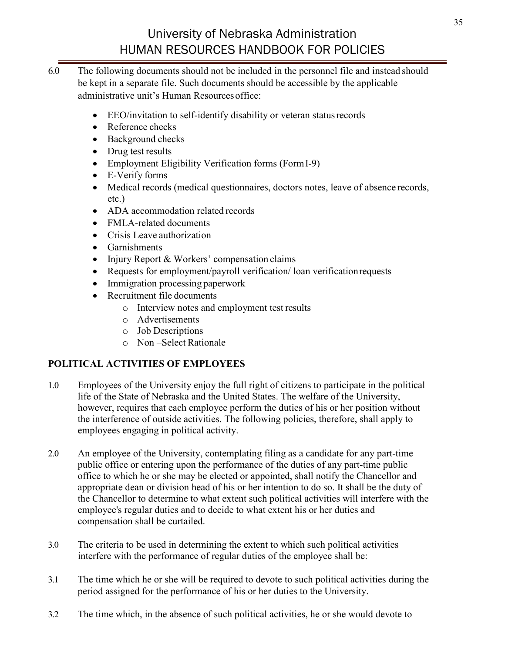- 6.0 The following documents should not be included in the personnel file and instead should be kept in a separate file. Such documents should be accessible by the applicable administrative unit's Human Resourcesoffice:
	- EEO/invitation to self-identify disability or veteran status records
	- Reference checks
	- Background checks
	- Drug test results
	- Employment Eligibility Verification forms (Form I-9)
	- E-Verify forms
	- Medical records (medical questionnaires, doctors notes, leave of absence records, etc.)
	- ADA accommodation related records
	- FMLA-related documents
	- Crisis Leave authorization
	- Garnishments
	- Injury Report & Workers' compensation claims
	- Requests for employment/payroll verification/ loan verificationrequests
	- Immigration processing paperwork
	- Recruitment file documents
		- o Interview notes and employment test results
		- o Advertisements
		- o Job Descriptions
		- o Non –Select Rationale

## **POLITICAL ACTIVITIES OF EMPLOYEES**

- 1.0 Employees of the University enjoy the full right of citizens to participate in the political life of the State of Nebraska and the United States. The welfare of the University, however, requires that each employee perform the duties of his or her position without the interference of outside activities. The following policies, therefore, shall apply to employees engaging in political activity.
- 2.0 An employee of the University, contemplating filing as a candidate for any part-time public office or entering upon the performance of the duties of any part-time public office to which he or she may be elected or appointed, shall notify the Chancellor and appropriate dean or division head of his or her intention to do so. It shall be the duty of the Chancellor to determine to what extent such political activities will interfere with the employee's regular duties and to decide to what extent his or her duties and compensation shall be curtailed.
- 3.0 The criteria to be used in determining the extent to which such political activities interfere with the performance of regular duties of the employee shall be:
- 3.1 The time which he or she will be required to devote to such political activities during the period assigned for the performance of his or her duties to the University.
- 3.2 The time which, in the absence of such political activities, he or she would devote to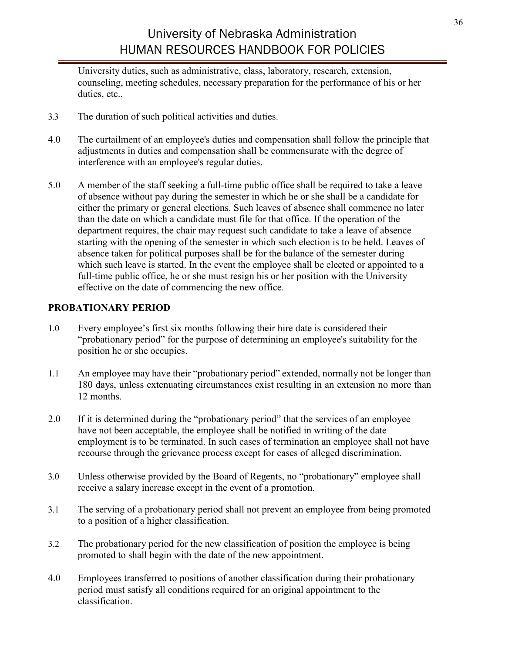University duties, such as administrative, class, laboratory, research, extension, counseling, meeting schedules, necessary preparation for the performance of his or her duties, etc.,

- 3.3 The duration of such political activities and duties.
- 4.0 The curtailment of an employee's duties and compensation shall follow the principle that adjustments in duties and compensation shall be commensurate with the degree of interference with an employee's regular duties.
- 5.0 A member of the staff seeking a full-time public office shall be required to take a leave of absence without pay during the semester in which he or she shall be a candidate for either the primary or general elections. Such leaves of absence shall commence no later than the date on which a candidate must file for that office. If the operation of the department requires, the chair may request such candidate to take a leave of absence starting with the opening of the semester in which such election is to be held. Leaves of absence taken for political purposes shall be for the balance of the semester during which such leave is started. In the event the employee shall be elected or appointed to a full-time public office, he or she must resign his or her position with the University effective on the date of commencing the new office.

## **PROBATIONARY PERIOD**

- 1.0 Every employee's first six months following their hire date is considered their "probationary period" for the purpose of determining an employee's suitability for the position he or she occupies.
- 1.1 An employee may have their "probationary period" extended, normally not be longer than 180 days, unless extenuating circumstances exist resulting in an extension no more than 12 months.
- 2.0 If it is determined during the "probationary period" that the services of an employee have not been acceptable, the employee shall be notified in writing of the date employment is to be terminated. In such cases of termination an employee shall not have recourse through the grievance process except for cases of alleged discrimination.
- 3.0 Unless otherwise provided by the Board of Regents, no "probationary" employee shall receive a salary increase except in the event of a promotion.
- 3.1 The serving of a probationary period shall not prevent an employee from being promoted to a position of a higher classification.
- 3.2 The probationary period for the new classification of position the employee is being promoted to shall begin with the date of the new appointment.
- 4.0 Employees transferred to positions of another classification during their probationary period must satisfy all conditions required for an original appointment to the classification.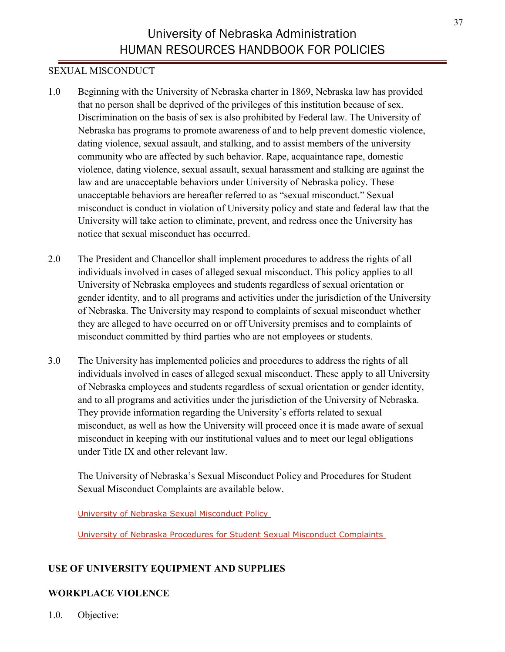## SEXUAL MISCONDUCT

- 1.0 Beginning with the University of Nebraska charter in 1869, Nebraska law has provided that no person shall be deprived of the privileges of this institution because of sex. Discrimination on the basis of sex is also prohibited by Federal law. The University of Nebraska has programs to promote awareness of and to help prevent domestic violence, dating violence, sexual assault, and stalking, and to assist members of the university community who are affected by such behavior. Rape, acquaintance rape, domestic violence, dating violence, sexual assault, sexual harassment and stalking are against the law and are unacceptable behaviors under University of Nebraska policy. These unacceptable behaviors are hereafter referred to as "sexual misconduct." Sexual misconduct is conduct in violation of University policy and state and federal law that the University will take action to eliminate, prevent, and redress once the University has notice that sexual misconduct has occurred.
- 2.0 The President and Chancellor shall implement procedures to address the rights of all individuals involved in cases of alleged sexual misconduct. This policy applies to all University of Nebraska employees and students regardless of sexual orientation or gender identity, and to all programs and activities under the jurisdiction of the University of Nebraska. The University may respond to complaints of sexual misconduct whether they are alleged to have occurred on or off University premises and to complaints of misconduct committed by third parties who are not employees or students.
- 3.0 The University has implemented policies and procedures to address the rights of all individuals involved in cases of alleged sexual misconduct. These apply to all University of Nebraska employees and students regardless of sexual orientation or gender identity, and to all programs and activities under the jurisdiction of the University of Nebraska. They provide information regarding the University's efforts related to sexual misconduct, as well as how the University will proceed once it is made aware of sexual misconduct in keeping with our institutional values and to meet our legal obligations under Title IX and other relevant law.

The University of Nebraska's Sexual Misconduct Policy and Procedures for Student Sexual Misconduct Complaints are available below.

[University of Nebraska Sexual Misconduct Policy](https://nebraska.edu/docs/hr/NU_Sexual_Misconduct_Policy_2014_0530.pdf) 

[University of Nebraska Procedures for Student Sexual Misconduct Complaints](https://nebraska.edu/docs/hr/sexualmisconduct_allegations_2014.pdf) 

## **USE OF UNIVERSITY EQUIPMENT AND SUPPLIES**

## **WORKPLACE VIOLENCE**

1.0. Objective: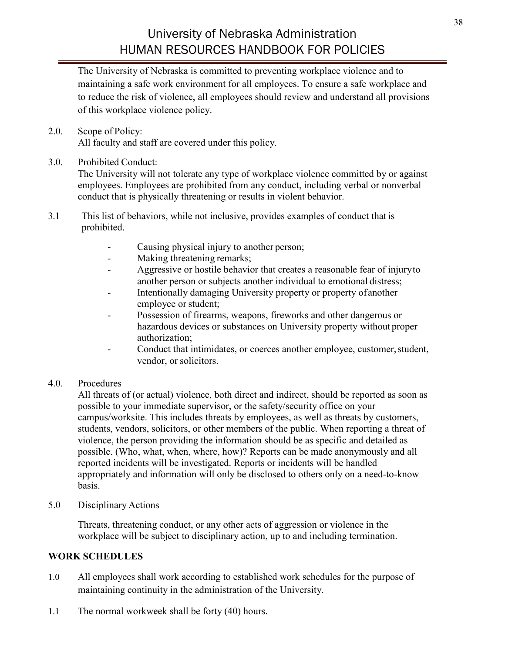The University of Nebraska is committed to preventing workplace violence and to maintaining a safe work environment for all employees. To ensure a safe workplace and to reduce the risk of violence, all employees should review and understand all provisions of this workplace violence policy.

- 2.0. Scope of Policy: All faculty and staff are covered under this policy.
- 3.0. Prohibited Conduct:

The University will not tolerate any type of workplace violence committed by or against employees. Employees are prohibited from any conduct, including verbal or nonverbal conduct that is physically threatening or results in violent behavior.

- 3.1 This list of behaviors, while not inclusive, provides examples of conduct that is prohibited.
	- Causing physical injury to another person;
	- Making threatening remarks;
	- Aggressive or hostile behavior that creates a reasonable fear of injury to another person or subjects another individual to emotional distress;
	- Intentionally damaging University property or property of another employee or student;
	- Possession of firearms, weapons, fireworks and other dangerous or hazardous devices or substances on University property without proper authorization;
	- Conduct that intimidates, or coerces another employee, customer, student, vendor, or solicitors.
- 4.0. Procedures

All threats of (or actual) violence, both direct and indirect, should be reported as soon as possible to your immediate supervisor, or the safety/security office on your campus/worksite. This includes threats by employees, as well as threats by customers, students, vendors, solicitors, or other members of the public. When reporting a threat of violence, the person providing the information should be as specific and detailed as possible. (Who, what, when, where, how)? Reports can be made anonymously and all reported incidents will be investigated. Reports or incidents will be handled appropriately and information will only be disclosed to others only on a need-to-know basis.

5.0 Disciplinary Actions

Threats, threatening conduct, or any other acts of aggression or violence in the workplace will be subject to disciplinary action, up to and including termination.

## **WORK SCHEDULES**

- 1.0 All employees shall work according to established work schedules for the purpose of maintaining continuity in the administration of the University.
- 1.1 The normal workweek shall be forty (40) hours.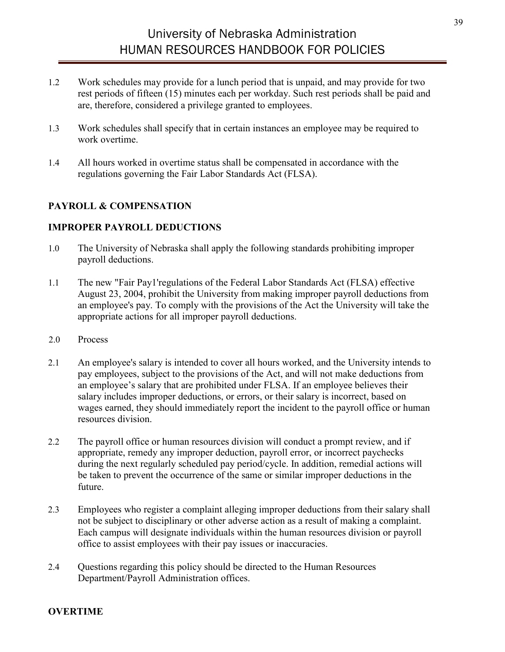- 1.2 Work schedules may provide for a lunch period that is unpaid, and may provide for two rest periods of fifteen (15) minutes each per workday. Such rest periods shall be paid and are, therefore, considered a privilege granted to employees.
- 1.3 Work schedules shall specify that in certain instances an employee may be required to work overtime.
- 1.4 All hours worked in overtime status shall be compensated in accordance with the regulations governing the Fair Labor Standards Act (FLSA).

## **PAYROLL & COMPENSATION**

## **IMPROPER PAYROLL DEDUCTIONS**

- 1.0 The University of Nebraska shall apply the following standards prohibiting improper payroll deductions.
- 1.1 The new "Fair Pay1'regulations of the Federal Labor Standards Act (FLSA) effective August 23, 2004, prohibit the University from making improper payroll deductions from an employee's pay. To comply with the provisions of the Act the University will take the appropriate actions for all improper payroll deductions.
- 2.0 Process
- 2.1 An employee's salary is intended to cover all hours worked, and the University intends to pay employees, subject to the provisions of the Act, and will not make deductions from an employee's salary that are prohibited under FLSA. If an employee believes their salary includes improper deductions, or errors, or their salary is incorrect, based on wages earned, they should immediately report the incident to the payroll office or human resources division.
- 2.2 The payroll office or human resources division will conduct a prompt review, and if appropriate, remedy any improper deduction, payroll error, or incorrect paychecks during the next regularly scheduled pay period/cycle. In addition, remedial actions will be taken to prevent the occurrence of the same or similar improper deductions in the future.
- 2.3 Employees who register a complaint alleging improper deductions from their salary shall not be subject to disciplinary or other adverse action as a result of making a complaint. Each campus will designate individuals within the human resources division or payroll office to assist employees with their pay issues or inaccuracies.
- 2.4 Questions regarding this policy should be directed to the Human Resources Department/Payroll Administration offices.

#### **OVERTIME**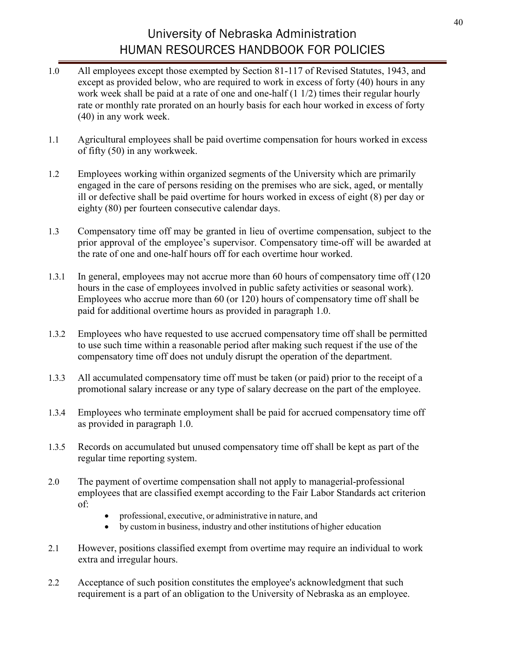- 1.0 All employees except those exempted by Section 81-117 of Revised Statutes, 1943, and except as provided below, who are required to work in excess of forty (40) hours in any work week shall be paid at a rate of one and one-half  $(1 1/2)$  times their regular hourly rate or monthly rate prorated on an hourly basis for each hour worked in excess of forty (40) in any work week.
- 1.1 Agricultural employees shall be paid overtime compensation for hours worked in excess of fifty (50) in any workweek.
- 1.2 Employees working within organized segments of the University which are primarily engaged in the care of persons residing on the premises who are sick, aged, or mentally ill or defective shall be paid overtime for hours worked in excess of eight (8) per day or eighty (80) per fourteen consecutive calendar days.
- 1.3 Compensatory time off may be granted in lieu of overtime compensation, subject to the prior approval of the employee's supervisor. Compensatory time-off will be awarded at the rate of one and one-half hours off for each overtime hour worked.
- 1.3.1 In general, employees may not accrue more than 60 hours of compensatory time off (120 hours in the case of employees involved in public safety activities or seasonal work). Employees who accrue more than 60 (or 120) hours of compensatory time off shall be paid for additional overtime hours as provided in paragraph 1.0.
- 1.3.2 Employees who have requested to use accrued compensatory time off shall be permitted to use such time within a reasonable period after making such request if the use of the compensatory time off does not unduly disrupt the operation of the department.
- 1.3.3 All accumulated compensatory time off must be taken (or paid) prior to the receipt of a promotional salary increase or any type of salary decrease on the part of the employee.
- 1.3.4 Employees who terminate employment shall be paid for accrued compensatory time off as provided in paragraph 1.0.
- 1.3.5 Records on accumulated but unused compensatory time off shall be kept as part of the regular time reporting system.
- 2.0 The payment of overtime compensation shall not apply to managerial-professional employees that are classified exempt according to the Fair Labor Standards act criterion of:
	- professional, executive, or administrative in nature, and
	- by custom in business, industry and other institutions of higher education
- 2.1 However, positions classified exempt from overtime may require an individual to work extra and irregular hours.
- 2.2 Acceptance of such position constitutes the employee's acknowledgment that such requirement is a part of an obligation to the University of Nebraska as an employee.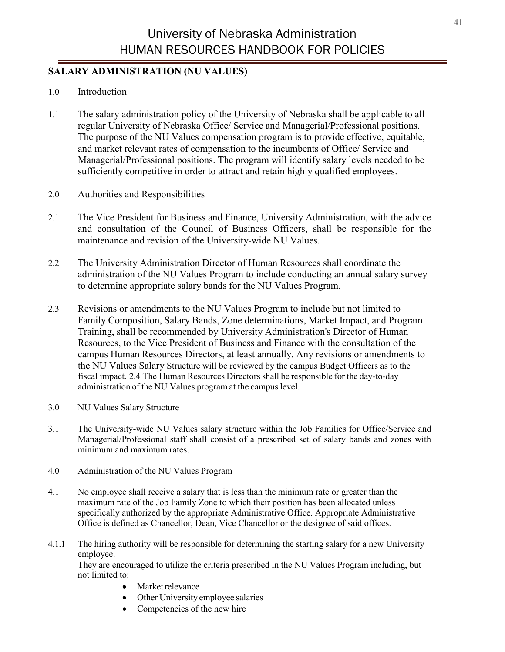## **SALARY ADMINISTRATION (NU VALUES)**

- 1.0 Introduction
- 1.1 The salary administration policy of the University of Nebraska shall be applicable to all regular University of Nebraska Office/ Service and Managerial/Professional positions. The purpose of the NU Values compensation program is to provide effective, equitable, and market relevant rates of compensation to the incumbents of Office/ Service and Managerial/Professional positions. The program will identify salary levels needed to be sufficiently competitive in order to attract and retain highly qualified employees.
- 2.0 Authorities and Responsibilities
- 2.1 The Vice President for Business and Finance, University Administration, with the advice and consultation of the Council of Business Officers, shall be responsible for the maintenance and revision of the University-wide NU Values.
- 2.2 The University Administration Director of Human Resources shall coordinate the administration of the NU Values Program to include conducting an annual salary survey to determine appropriate salary bands for the NU Values Program.
- 2.3 Revisions or amendments to the NU Values Program to include but not limited to Family Composition, Salary Bands, Zone determinations, Market Impact, and Program Training, shall be recommended by University Administration's Director of Human Resources, to the Vice President of Business and Finance with the consultation of the campus Human Resources Directors, at least annually. Any revisions or amendments to the NU Values Salary Structure will be reviewed by the campus Budget Officers as to the fiscal impact. 2.4 The Human Resources Directors shall be responsible for the day-to-day administration of the NU Values program at the campus level.
- 3.0 NU Values Salary Structure
- 3.1 The University-wide NU Values salary structure within the Job Families for Office/Service and Managerial/Professional staff shall consist of a prescribed set of salary bands and zones with minimum and maximum rates.
- 4.0 Administration of the NU Values Program
- 4.1 No employee shall receive a salary that is less than the minimum rate or greater than the maximum rate of the Job Family Zone to which their position has been allocated unless specifically authorized by the appropriate Administrative Office. Appropriate Administrative Office is defined as Chancellor, Dean, Vice Chancellor or the designee of said offices.
- 4.1.1 The hiring authority will be responsible for determining the starting salary for a new University employee. They are encouraged to utilize the criteria prescribed in the NU Values Program including, but not limited to:
	- Marketrelevance
	- Other University employee salaries
	- Competencies of the new hire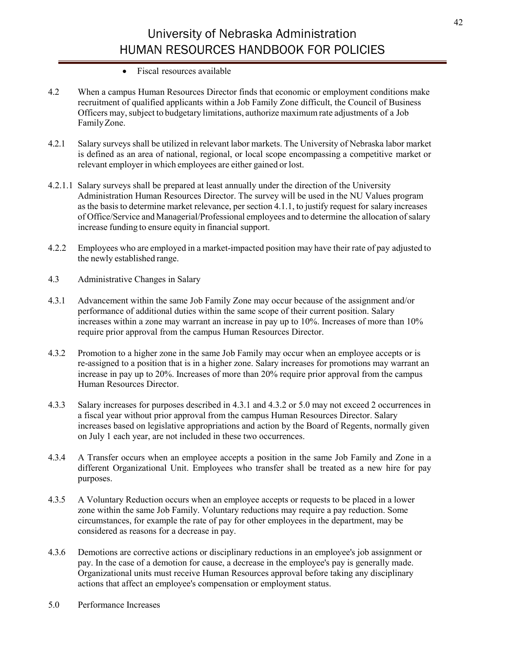- Fiscal resources available
- 4.2 When a campus Human Resources Director finds that economic or employment conditions make recruitment of qualified applicants within a Job Family Zone difficult, the Council of Business Officers may,subject to budgetary limitations, authorize maximumrate adjustments of a Job FamilyZone.
- 4.2.1 Salary surveys shall be utilized in relevant labor markets. The University of Nebraska labor market is defined as an area of national, regional, or local scope encompassing a competitive market or relevant employer in which employees are either gained or lost.
- 4.2.1.1 Salary surveys shall be prepared at least annually under the direction of the University Administration Human Resources Director. The survey will be used in the NU Values program as the basisto determine market relevance, per section 4.1.1, to justify request for salary increases of Office/Service and Managerial/Professional employees and to determine the allocation ofsalary increase funding to ensure equity in financial support.
- 4.2.2 Employees who are employed in a market-impacted position may have their rate of pay adjusted to the newly established range.
- 4.3 Administrative Changes in Salary
- 4.3.1 Advancement within the same Job Family Zone may occur because of the assignment and/or performance of additional duties within the same scope of their current position. Salary increases within a zone may warrant an increase in pay up to 10%. Increases of more than 10% require prior approval from the campus Human Resources Director.
- 4.3.2 Promotion to a higher zone in the same Job Family may occur when an employee accepts or is re-assigned to a position that is in a higher zone. Salary increases for promotions may warrant an increase in pay up to 20%. Increases of more than 20% require prior approval from the campus Human Resources Director.
- 4.3.3 Salary increases for purposes described in 4.3.1 and 4.3.2 or 5.0 may not exceed 2 occurrences in a fiscal year without prior approval from the campus Human Resources Director. Salary increases based on legislative appropriations and action by the Board of Regents, normally given on July 1 each year, are not included in these two occurrences.
- 4.3.4 A Transfer occurs when an employee accepts a position in the same Job Family and Zone in a different Organizational Unit. Employees who transfer shall be treated as a new hire for pay purposes.
- 4.3.5 A Voluntary Reduction occurs when an employee accepts or requests to be placed in a lower zone within the same Job Family. Voluntary reductions may require a pay reduction. Some circumstances, for example the rate of pay for other employees in the department, may be considered as reasons for a decrease in pay.
- 4.3.6 Demotions are corrective actions or disciplinary reductions in an employee's job assignment or pay. In the case of a demotion for cause, a decrease in the employee's pay is generally made. Organizational units must receive Human Resources approval before taking any disciplinary actions that affect an employee's compensation or employment status.
- 5.0 Performance Increases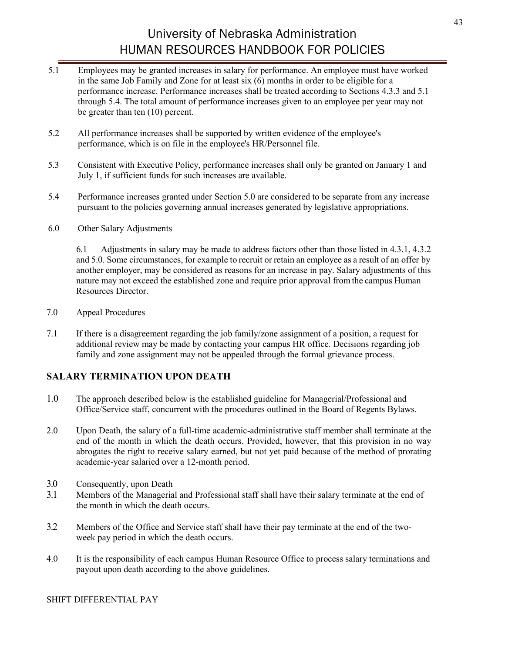- 5.1 Employees may be granted increases in salary for performance. An employee must have worked in the same Job Family and Zone for at least six (6) months in order to be eligible for a performance increase. Performance increases shall be treated according to Sections 4.3.3 and 5.1 through 5.4. The total amount of performance increases given to an employee per year may not be greater than ten (10) percent.
- 5.2 All performance increases shall be supported by written evidence of the employee's performance, which is on file in the employee's HR/Personnel file.
- 5.3 Consistent with Executive Policy, performance increases shall only be granted on January 1 and July 1, if sufficient funds for such increases are available.
- 5.4 Performance increases granted under Section 5.0 are considered to be separate from any increase pursuant to the policies governing annual increases generated by legislative appropriations.
- 6.0 Other Salary Adjustments

6.1 Adjustments in salary may be made to address factors other than those listed in 4.3.1, 4.3.2 and 5.0. Some circumstances, for example to recruit or retain an employee as a result of an offer by another employer, may be considered as reasons for an increase in pay. Salary adjustments of this nature may not exceed the established zone and require prior approval fromthe campus Human Resources Director.

- 7.0 Appeal Procedures
- 7.1 If there is a disagreement regarding the job family/zone assignment of a position, a request for additional review may be made by contacting your campus HR office. Decisions regarding job family and zone assignment may not be appealed through the formal grievance process.

## **SALARY TERMINATION UPON DEATH**

- 1.0 The approach described below is the established guideline for Managerial/Professional and Office/Service staff, concurrent with the procedures outlined in the Board of Regents Bylaws.
- 2.0 Upon Death, the salary of a full-time academic-administrative staff member shall terminate at the end of the month in which the death occurs. Provided, however, that this provision in no way abrogates the right to receive salary earned, but not yet paid because of the method of prorating academic-year salaried over a 12-month period.
- 3.0 Consequently, upon Death
- 3.1 Members of the Managerial and Professional staff shall have their salary terminate at the end of the month in which the death occurs.
- 3.2 Members of the Office and Service staff shall have their pay terminate at the end of the twoweek pay period in which the death occurs.
- 4.0 It is the responsibility of each campus Human Resource Office to process salary terminations and payout upon death according to the above guidelines.

#### SHIFT DIFFERENTIAL PAY